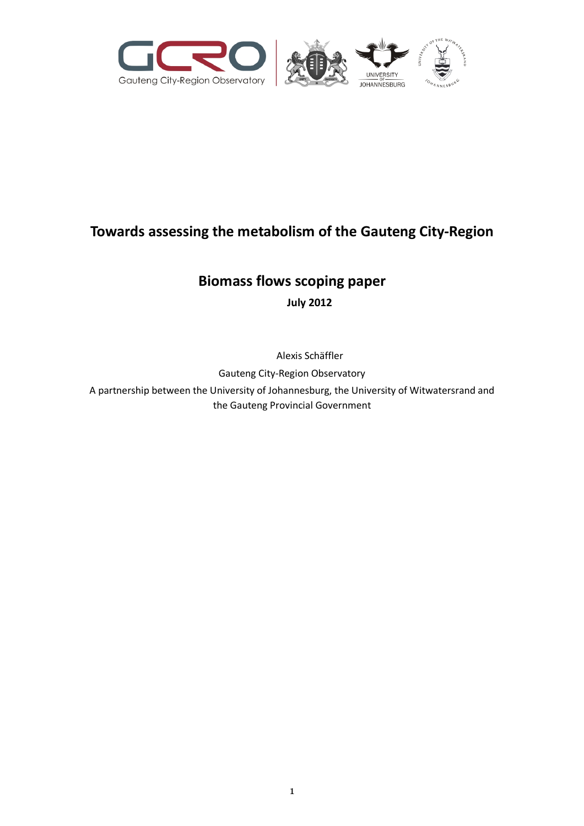

# **Towards assessing the metabolism of the Gauteng City-Region**

# **Biomass flows scoping paper**

**July 2012**

Alexis Schäffler

Gauteng City-Region Observatory

A partnership between the University of Johannesburg, the University of Witwatersrand and the Gauteng Provincial Government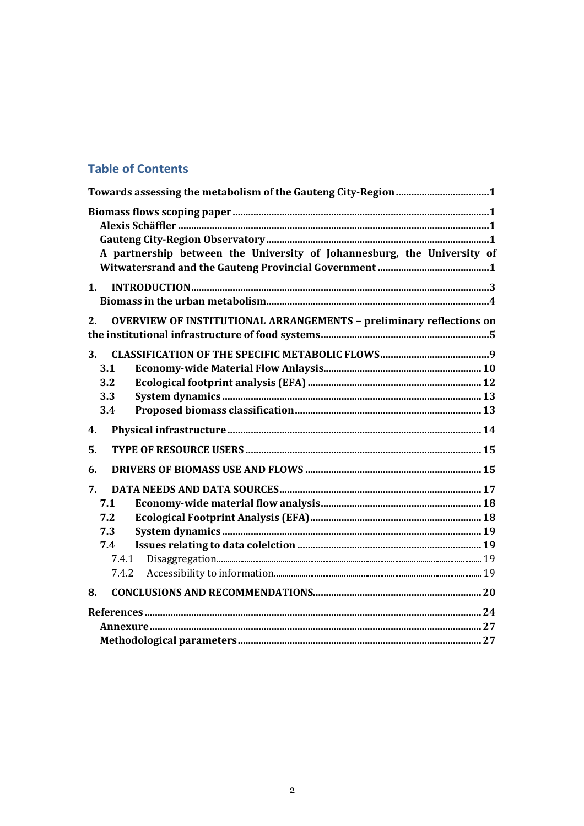# **Table of Contents**

| A partnership between the University of Johannesburg, the University of          |  |
|----------------------------------------------------------------------------------|--|
| 1.                                                                               |  |
| <b>OVERVIEW OF INSTITUTIONAL ARRANGEMENTS - preliminary reflections on</b><br>2. |  |
| 3.<br>3.1<br>3.2<br>3.3<br>3.4                                                   |  |
| 4.                                                                               |  |
| 5.                                                                               |  |
| 6.                                                                               |  |
| 7.<br>7.1                                                                        |  |
| 7.2<br>7.3                                                                       |  |
| 7.4                                                                              |  |
| 7.4.1                                                                            |  |
| 7.4.2                                                                            |  |
| 8.                                                                               |  |
|                                                                                  |  |
|                                                                                  |  |
|                                                                                  |  |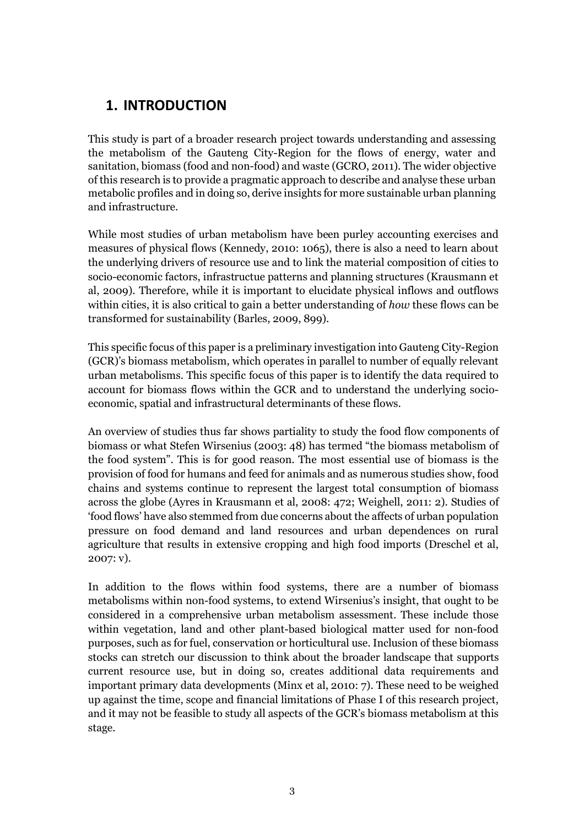# **1. INTRODUCTION**

This study is part of a broader research project towards understanding and assessing the metabolism of the Gauteng City-Region for the flows of energy, water and sanitation, biomass (food and non-food) and waste (GCRO, 2011). The wider objective of this research is to provide a pragmatic approach to describe and analyse these urban metabolic profiles and in doing so, derive insights for more sustainable urban planning and infrastructure.

While most studies of urban metabolism have been purley accounting exercises and measures of physical flows (Kennedy, 2010: 1065), there is also a need to learn about the underlying drivers of resource use and to link the material composition of cities to socio-economic factors, infrastructue patterns and planning structures (Krausmann et al, 2009). Therefore, while it is important to elucidate physical inflows and outflows within cities, it is also critical to gain a better understanding of *how* these flows can be transformed for sustainability (Barles, 2009, 899).

This specific focus of this paper is a preliminary investigation into Gauteng City-Region (GCR)'s biomass metabolism, which operates in parallel to number of equally relevant urban metabolisms. This specific focus of this paper is to identify the data required to account for biomass flows within the GCR and to understand the underlying socioeconomic, spatial and infrastructural determinants of these flows.

An overview of studies thus far shows partiality to study the food flow components of biomass or what Stefen Wirsenius (2003: 48) has termed "the biomass metabolism of the food system". This is for good reason. The most essential use of biomass is the provision of food for humans and feed for animals and as numerous studies show, food chains and systems continue to represent the largest total consumption of biomass across the globe (Ayres in Krausmann et al, 2008: 472; Weighell, 2011: 2). Studies of 'food flows' have also stemmed from due concerns about the affects of urban population pressure on food demand and land resources and urban dependences on rural agriculture that results in extensive cropping and high food imports (Dreschel et al, 2007: v).

In addition to the flows within food systems, there are a number of biomass metabolisms within non-food systems, to extend Wirsenius's insight, that ought to be considered in a comprehensive urban metabolism assessment. These include those within vegetation, land and other plant-based biological matter used for non-food purposes, such as for fuel, conservation or horticultural use. Inclusion of these biomass stocks can stretch our discussion to think about the broader landscape that supports current resource use, but in doing so, creates additional data requirements and important primary data developments (Minx et al, 2010: 7). These need to be weighed up against the time, scope and financial limitations of Phase I of this research project, and it may not be feasible to study all aspects of the GCR's biomass metabolism at this stage.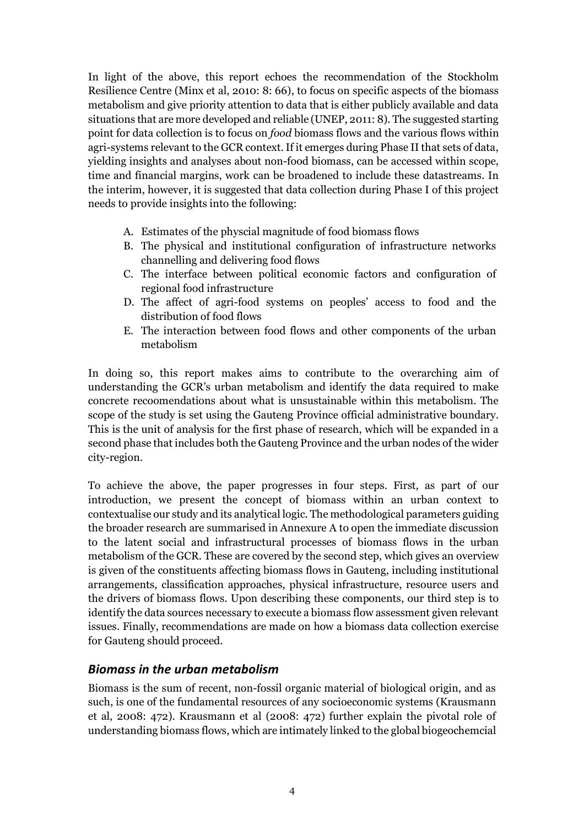In light of the above, this report echoes the recommendation of the Stockholm Resilience Centre (Minx et al, 2010: 8: 66), to focus on specific aspects of the biomass metabolism and give priority attention to data that is either publicly available and data situations that are more developed and reliable (UNEP, 2011: 8). The suggested starting point for data collection is to focus on *food* biomass flows and the various flows within agri-systems relevant to the GCR context. If it emerges during Phase II that sets of data, yielding insights and analyses about non-food biomass, can be accessed within scope, time and financial margins, work can be broadened to include these datastreams. In the interim, however, it is suggested that data collection during Phase I of this project needs to provide insights into the following:

- A. Estimates of the physcial magnitude of food biomass flows
- B. The physical and institutional configuration of infrastructure networks channelling and delivering food flows
- C. The interface between political economic factors and configuration of regional food infrastructure
- D. The affect of agri-food systems on peoples' access to food and the distribution of food flows
- E. The interaction between food flows and other components of the urban metabolism

In doing so, this report makes aims to contribute to the overarching aim of understanding the GCR's urban metabolism and identify the data required to make concrete recoomendations about what is unsustainable within this metabolism. The scope of the study is set using the Gauteng Province official administrative boundary. This is the unit of analysis for the first phase of research, which will be expanded in a second phase that includes both the Gauteng Province and the urban nodes of the wider city-region.

To achieve the above, the paper progresses in four steps. First, as part of our introduction, we present the concept of biomass within an urban context to contextualise our study and its analytical logic. The methodological parameters guiding the broader research are summarised in Annexure A to open the immediate discussion to the latent social and infrastructural processes of biomass flows in the urban metabolism of the GCR. These are covered by the second step, which gives an overview is given of the constituents affecting biomass flows in Gauteng, including institutional arrangements, classification approaches, physical infrastructure, resource users and the drivers of biomass flows. Upon describing these components, our third step is to identify the data sources necessary to execute a biomass flow assessment given relevant issues. Finally, recommendations are made on how a biomass data collection exercise for Gauteng should proceed.

### *Biomass in the urban metabolism*

Biomass is the sum of recent, non-fossil organic material of biological origin, and as such, is one of the fundamental resources of any socioeconomic systems (Krausmann et al, 2008: 472). Krausmann et al (2008: 472) further explain the pivotal role of understanding biomass flows, which are intimately linked to the global biogeochemcial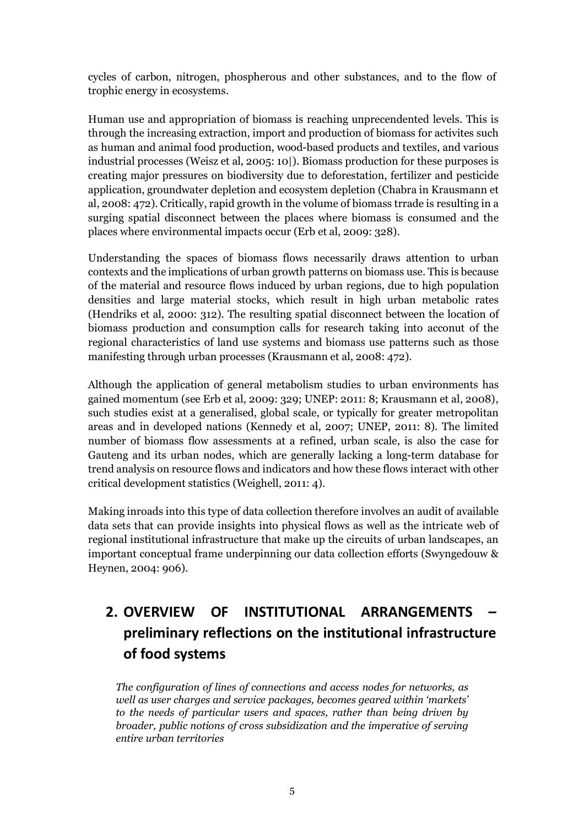cycles of carbon, nitrogen, phospherous and other substances, and to the flow of trophic energy in ecosystems.

Human use and appropriation of biomass is reaching unprecendented levels. This is through the increasing extraction, import and production of biomass for activites such as human and animal food production, wood-based products and textiles, and various industrial processes (Weisz et al, 2005: 10|). Biomass production for these purposes is creating major pressures on biodiversity due to deforestation, fertilizer and pesticide application, groundwater depletion and ecosystem depletion (Chabra in Krausmann et al, 2008: 472). Critically, rapid growth in the volume of biomass trrade is resulting in a surging spatial disconnect between the places where biomass is consumed and the places where environmental impacts occur (Erb et al, 2009: 328).

Understanding the spaces of biomass flows necessarily draws attention to urban contexts and the implications of urban growth patterns on biomass use. This is because of the material and resource flows induced by urban regions, due to high population densities and large material stocks, which result in high urban metabolic rates (Hendriks et al, 2000: 312). The resulting spatial disconnect between the location of biomass production and consumption calls for research taking into acconut of the regional characteristics of land use systems and biomass use patterns such as those manifesting through urban processes (Krausmann et al, 2008: 472).

Although the application of general metabolism studies to urban environments has gained momentum (see Erb et al, 2009: 329; UNEP: 2011: 8; Krausmann et al, 2008), such studies exist at a generalised, global scale, or typically for greater metropolitan areas and in developed nations (Kennedy et al, 2007; UNEP, 2011: 8). The limited number of biomass flow assessments at a refined, urban scale, is also the case for Gauteng and its urban nodes, which are generally lacking a long-term database for trend analysis on resource flows and indicators and how these flows interact with other critical development statistics (Weighell, 2011: 4).

Making inroads into this type of data collection therefore involves an audit of available data sets that can provide insights into physical flows as well as the intricate web of regional institutional infrastructure that make up the circuits of urban landscapes, an important conceptual frame underpinning our data collection efforts (Swyngedouw & Heynen, 2004: 906).

# **2. OVERVIEW OF INSTITUTIONAL ARRANGEMENTS – preliminary reflections on the institutional infrastructure of food systems**

*The configuration of lines of connections and access nodes for networks, as well as user charges and service packages, becomes geared within 'markets' to the needs of particular users and spaces, rather than being driven by broader, public notions of cross subsidization and the imperative of serving entire urban territories*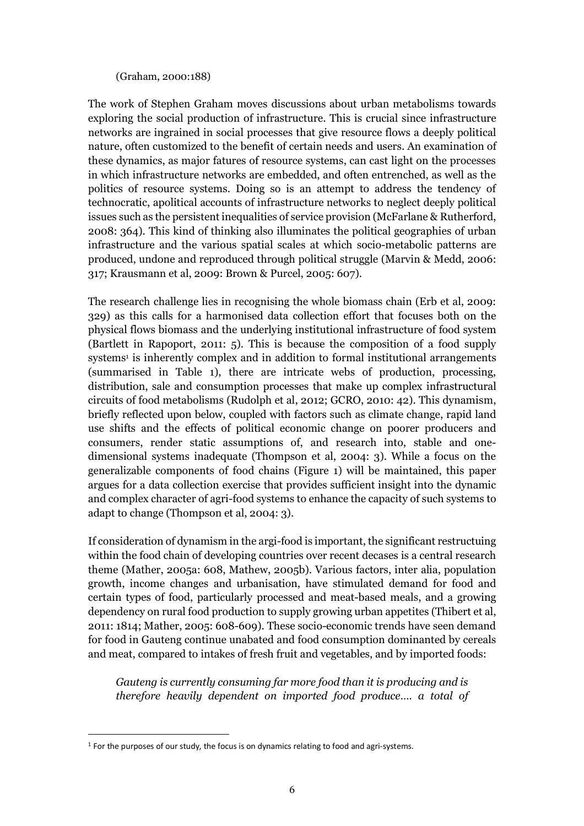#### (Graham, 2000:188)

The work of Stephen Graham moves discussions about urban metabolisms towards exploring the social production of infrastructure. This is crucial since infrastructure networks are ingrained in social processes that give resource flows a deeply political nature, often customized to the benefit of certain needs and users. An examination of these dynamics, as major fatures of resource systems, can cast light on the processes in which infrastructure networks are embedded, and often entrenched, as well as the politics of resource systems. Doing so is an attempt to address the tendency of technocratic, apolitical accounts of infrastructure networks to neglect deeply political issues such as the persistent inequalities of service provision (McFarlane & Rutherford, 2008: 364). This kind of thinking also illuminates the political geographies of urban infrastructure and the various spatial scales at which socio-metabolic patterns are produced, undone and reproduced through political struggle (Marvin & Medd, 2006: 317; Krausmann et al, 2009: Brown & Purcel, 2005: 607).

The research challenge lies in recognising the whole biomass chain (Erb et al, 2009: 329) as this calls for a harmonised data collection effort that focuses both on the physical flows biomass and the underlying institutional infrastructure of food system (Bartlett in Rapoport, 2011: 5). This is because the composition of a food supply systems<sup>1</sup> is inherently complex and in addition to formal institutional arrangements (summarised in Table 1), there are intricate webs of production, processing, distribution, sale and consumption processes that make up complex infrastructural circuits of food metabolisms (Rudolph et al, 2012; GCRO, 2010: 42). This dynamism, briefly reflected upon below, coupled with factors such as climate change, rapid land use shifts and the effects of political economic change on poorer producers and consumers, render static assumptions of, and research into, stable and onedimensional systems inadequate (Thompson et al, 2004: 3). While a focus on the generalizable components of food chains (Figure 1) will be maintained, this paper argues for a data collection exercise that provides sufficient insight into the dynamic and complex character of agri-food systems to enhance the capacity of such systems to adapt to change (Thompson et al, 2004: 3).

If consideration of dynamism in the argi-food is important, the significant restructuing within the food chain of developing countries over recent decases is a central research theme (Mather, 2005a: 608, Mathew, 2005b). Various factors, inter alia, population growth, income changes and urbanisation, have stimulated demand for food and certain types of food, particularly processed and meat-based meals, and a growing dependency on rural food production to supply growing urban appetites (Thibert et al, 2011: 1814; Mather, 2005: 608-609). These socio-economic trends have seen demand for food in Gauteng continue unabated and food consumption dominanted by cereals and meat, compared to intakes of fresh fruit and vegetables, and by imported foods:

*Gauteng is currently consuming far more food than it is producing and is therefore heavily dependent on imported food produce…. a total of* 

<sup>&</sup>lt;sup>1</sup> For the purposes of our study, the focus is on dynamics relating to food and agri-systems.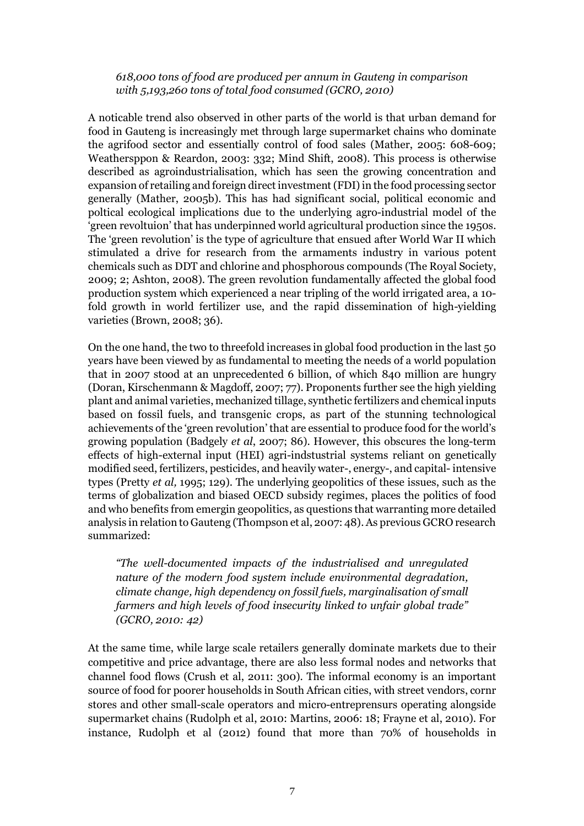*618,000 tons of food are produced per annum in Gauteng in comparison with 5,193,260 tons of total food consumed (GCRO, 2010)*

A noticable trend also observed in other parts of the world is that urban demand for food in Gauteng is increasingly met through large supermarket chains who dominate the agrifood sector and essentially control of food sales (Mather, 2005: 608-609; Weathersppon & Reardon, 2003: 332; Mind Shift, 2008). This process is otherwise described as agroindustrialisation, which has seen the growing concentration and expansion of retailing and foreign direct investment (FDI) in the food processing sector generally (Mather, 2005b). This has had significant social, political economic and poltical ecological implications due to the underlying agro-industrial model of the 'green revoltuion' that has underpinned world agricultural production since the 1950s. The 'green revolution' is the type of agriculture that ensued after World War II which stimulated a drive for research from the armaments industry in various potent chemicals such as DDT and chlorine and phosphorous compounds (The Royal Society, 2009; 2; Ashton, 2008). The green revolution fundamentally affected the global food production system which experienced a near tripling of the world irrigated area, a 10 fold growth in world fertilizer use, and the rapid dissemination of high-yielding varieties (Brown, 2008; 36).

On the one hand, the two to threefold increases in global food production in the last 50 years have been viewed by as fundamental to meeting the needs of a world population that in 2007 stood at an unprecedented 6 billion, of which 840 million are hungry (Doran, Kirschenmann & Magdoff, 2007; 77). Proponents further see the high yielding plant and animal varieties, mechanized tillage, synthetic fertilizers and chemical inputs based on fossil fuels, and transgenic crops, as part of the stunning technological achievements of the 'green revolution' that are essential to produce food for the world's growing population (Badgely *et al*, 2007; 86). However, this obscures the long-term effects of high-external input (HEI) agri-indstustrial systems reliant on genetically modified seed, fertilizers, pesticides, and heavily water-, energy-, and capital- intensive types (Pretty *et al,* 1995; 129). The underlying geopolitics of these issues, such as the terms of globalization and biased OECD subsidy regimes, places the politics of food and who benefits from emergin geopolitics, as questions that warranting more detailed analysis in relation to Gauteng (Thompson et al, 2007: 48). As previous GCRO research summarized:

*"The well-documented impacts of the industrialised and unregulated nature of the modern food system include environmental degradation, climate change, high dependency on fossil fuels, marginalisation of small farmers and high levels of food insecurity linked to unfair global trade" (GCRO, 2010: 42)*

At the same time, while large scale retailers generally dominate markets due to their competitive and price advantage, there are also less formal nodes and networks that channel food flows (Crush et al, 2011: 300). The informal economy is an important source of food for poorer households in South African cities, with street vendors, cornr stores and other small-scale operators and micro-entreprensurs operating alongside supermarket chains (Rudolph et al, 2010: Martins, 2006: 18; Frayne et al, 2010). For instance, Rudolph et al (2012) found that more than 70% of households in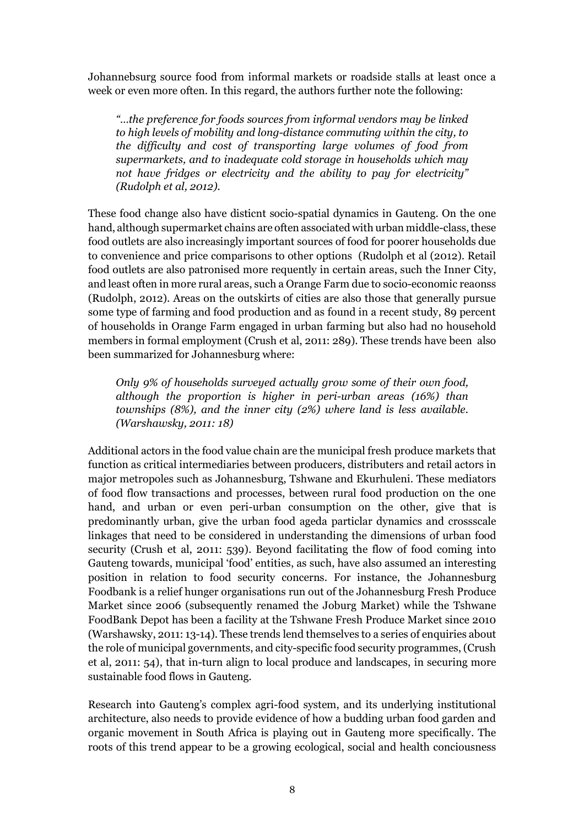Johannebsurg source food from informal markets or roadside stalls at least once a week or even more often. In this regard, the authors further note the following:

*"…the preference for foods sources from informal vendors may be linked to high levels of mobility and long-distance commuting within the city, to the difficulty and cost of transporting large volumes of food from supermarkets, and to inadequate cold storage in households which may not have fridges or electricity and the ability to pay for electricity" (Rudolph et al, 2012).*

These food change also have disticnt socio-spatial dynamics in Gauteng. On the one hand, although supermarket chains are often associated with urban middle-class, these food outlets are also increasingly important sources of food for poorer households due to convenience and price comparisons to other options (Rudolph et al (2012). Retail food outlets are also patronised more requently in certain areas, such the Inner City, and least often in more rural areas, such a Orange Farm due to socio-economic reaonss (Rudolph, 2012). Areas on the outskirts of cities are also those that generally pursue some type of farming and food production and as found in a recent study, 89 percent of households in Orange Farm engaged in urban farming but also had no household members in formal employment (Crush et al, 2011: 289). These trends have been also been summarized for Johannesburg where:

*Only 9% of households surveyed actually grow some of their own food, although the proportion is higher in peri-urban areas (16%) than townships (8%), and the inner city (2%) where land is less available. (Warshawsky, 2011: 18)*

Additional actors in the food value chain are the municipal fresh produce markets that function as critical intermediaries between producers, distributers and retail actors in major metropoles such as Johannesburg, Tshwane and Ekurhuleni. These mediators of food flow transactions and processes, between rural food production on the one hand, and urban or even peri-urban consumption on the other, give that is predominantly urban, give the urban food ageda particlar dynamics and crossscale linkages that need to be considered in understanding the dimensions of urban food security (Crush et al, 2011: 539). Beyond facilitating the flow of food coming into Gauteng towards, municipal 'food' entities, as such, have also assumed an interesting position in relation to food security concerns. For instance, the Johannesburg Foodbank is a relief hunger organisations run out of the Johannesburg Fresh Produce Market since 2006 (subsequently renamed the Joburg Market) while the Tshwane FoodBank Depot has been a facility at the Tshwane Fresh Produce Market since 2010 (Warshawsky, 2011: 13-14). These trends lend themselves to a series of enquiries about the role of municipal governments, and city-specific food security programmes, (Crush et al, 2011: 54), that in-turn align to local produce and landscapes, in securing more sustainable food flows in Gauteng.

Research into Gauteng's complex agri-food system, and its underlying institutional architecture, also needs to provide evidence of how a budding urban food garden and organic movement in South Africa is playing out in Gauteng more specifically. The roots of this trend appear to be a growing ecological, social and health conciousness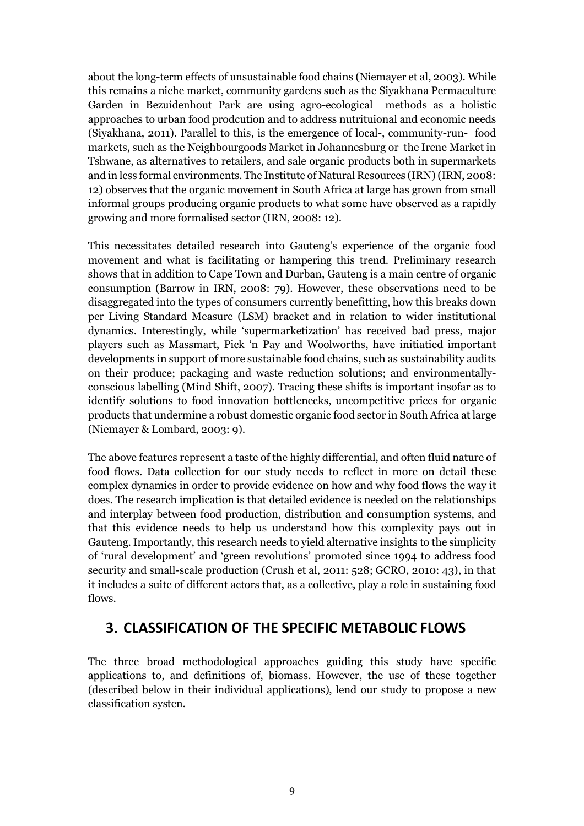about the long-term effects of unsustainable food chains (Niemayer et al, 2003). While this remains a niche market, community gardens such as the Siyakhana Permaculture Garden in Bezuidenhout Park are using agro-ecological methods as a holistic approaches to urban food prodcution and to address nutrituional and economic needs (Siyakhana, 2011). Parallel to this, is the emergence of local-, community-run- food markets, such as the Neighbourgoods Market in Johannesburg or the Irene Market in Tshwane, as alternatives to retailers, and sale organic products both in supermarkets and in less formal environments. The Institute of Natural Resources (IRN) (IRN, 2008: 12) observes that the organic movement in South Africa at large has grown from small informal groups producing organic products to what some have observed as a rapidly growing and more formalised sector (IRN, 2008: 12).

This necessitates detailed research into Gauteng's experience of the organic food movement and what is facilitating or hampering this trend. Preliminary research shows that in addition to Cape Town and Durban, Gauteng is a main centre of organic consumption (Barrow in IRN, 2008: 79). However, these observations need to be disaggregated into the types of consumers currently benefitting, how this breaks down per Living Standard Measure (LSM) bracket and in relation to wider institutional dynamics. Interestingly, while 'supermarketization' has received bad press, major players such as Massmart, Pick 'n Pay and Woolworths, have initiatied important developments in support of more sustainable food chains, such as sustainability audits on their produce; packaging and waste reduction solutions; and environmentallyconscious labelling (Mind Shift, 2007). Tracing these shifts is important insofar as to identify solutions to food innovation bottlenecks, uncompetitive prices for organic products that undermine a robust domestic organic food sector in South Africa at large (Niemayer & Lombard, 2003: 9).

The above features represent a taste of the highly differential, and often fluid nature of food flows. Data collection for our study needs to reflect in more on detail these complex dynamics in order to provide evidence on how and why food flows the way it does. The research implication is that detailed evidence is needed on the relationships and interplay between food production, distribution and consumption systems, and that this evidence needs to help us understand how this complexity pays out in Gauteng. Importantly, this research needs to yield alternative insights to the simplicity of 'rural development' and 'green revolutions' promoted since 1994 to address food security and small-scale production (Crush et al, 2011: 528; GCRO, 2010: 43), in that it includes a suite of different actors that, as a collective, play a role in sustaining food flows.

## **3. CLASSIFICATION OF THE SPECIFIC METABOLIC FLOWS**

The three broad methodological approaches guiding this study have specific applications to, and definitions of, biomass. However, the use of these together (described below in their individual applications), lend our study to propose a new classification systen.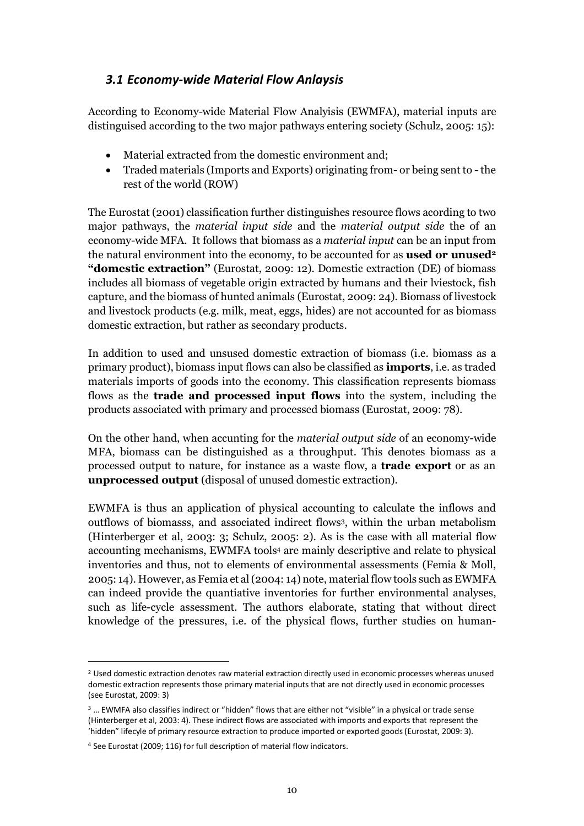### *3.1 Economy-wide Material Flow Anlaysis*

According to Economy-wide Material Flow Analyisis (EWMFA), material inputs are distinguised according to the two major pathways entering society (Schulz, 2005: 15):

- Material extracted from the domestic environment and;
- Traded materials (Imports and Exports) originating from- or being sent to the rest of the world (ROW)

The Eurostat (2001) classification further distinguishes resource flows acording to two major pathways, the *material input side* and the *material output side* the of an economy-wide MFA. It follows that biomass as a *material input* can be an input from the natural environment into the economy, to be accounted for as **used or unused2 "domestic extraction"** (Eurostat, 2009: 12). Domestic extraction (DE) of biomass includes all biomass of vegetable origin extracted by humans and their lviestock, fish capture, and the biomass of hunted animals (Eurostat, 2009: 24). Biomass of livestock and livestock products (e.g. milk, meat, eggs, hides) are not accounted for as biomass domestic extraction, but rather as secondary products.

In addition to used and unsused domestic extraction of biomass (i.e. biomass as a primary product), biomass input flows can also be classified as **imports**, i.e. as traded materials imports of goods into the economy. This classification represents biomass flows as the **trade and processed input flows** into the system, including the products associated with primary and processed biomass (Eurostat, 2009: 78).

On the other hand, when accunting for the *material output side* of an economy-wide MFA, biomass can be distinguished as a throughput. This denotes biomass as a processed output to nature, for instance as a waste flow, a **trade export** or as an **unprocessed output** (disposal of unused domestic extraction).

EWMFA is thus an application of physical accounting to calculate the inflows and outflows of biomasss, and associated indirect flows3, within the urban metabolism (Hinterberger et al, 2003: 3; Schulz, 2005: 2). As is the case with all material flow accounting mechanisms, EWMFA tools4 are mainly descriptive and relate to physical inventories and thus, not to elements of environmental assessments (Femia & Moll, 2005: 14). However, as Femia et al (2004: 14) note, material flow tools such as EWMFA can indeed provide the quantiative inventories for further environmental analyses, such as life-cycle assessment. The authors elaborate, stating that without direct knowledge of the pressures, i.e. of the physical flows, further studies on human-

<sup>2</sup> Used domestic extraction denotes raw material extraction directly used in economic processes whereas unused domestic extraction represents those primary material inputs that are not directly used in economic processes (see Eurostat, 2009: 3)

<sup>&</sup>lt;sup>3</sup> ... EWMFA also classifies indirect or "hidden" flows that are either not "visible" in a physical or trade sense (Hinterberger et al, 2003: 4). These indirect flows are associated with imports and exports that represent the 'hidden" lifecyle of primary resource extraction to produce imported or exported goods (Eurostat, 2009: 3).

<sup>4</sup> See Eurostat (2009; 116) for full description of material flow indicators.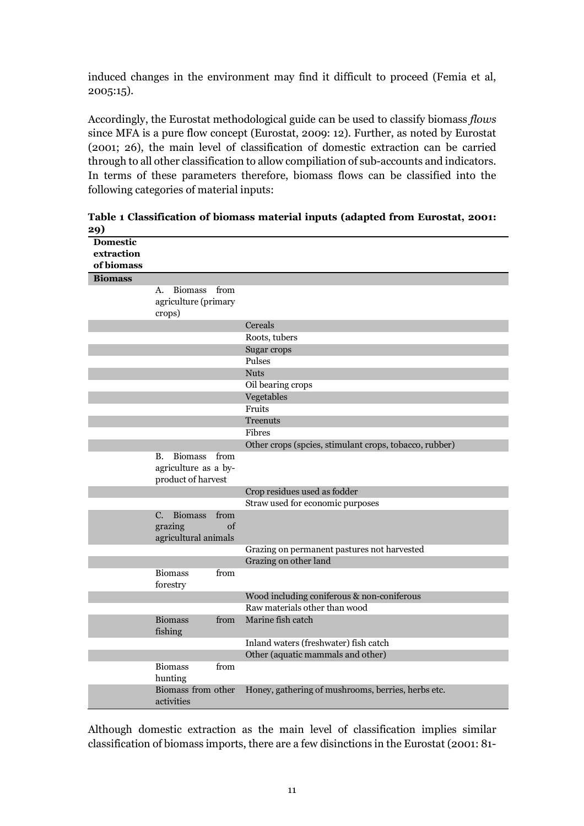induced changes in the environment may find it difficult to proceed (Femia et al, 2005:15).

Accordingly, the Eurostat methodological guide can be used to classify biomass *flows* since MFA is a pure flow concept (Eurostat, 2009: 12). Further, as noted by Eurostat (2001; 26), the main level of classification of domestic extraction can be carried through to all other classification to allow compiliation of sub-accounts and indicators. In terms of these parameters therefore, biomass flows can be classified into the following categories of material inputs:

| ッ               |                           |      |                                                        |
|-----------------|---------------------------|------|--------------------------------------------------------|
| <b>Domestic</b> |                           |      |                                                        |
| extraction      |                           |      |                                                        |
| of biomass      |                           |      |                                                        |
| <b>Biomass</b>  |                           |      |                                                        |
|                 | Biomass<br>А.             | from |                                                        |
|                 | agriculture (primary      |      |                                                        |
|                 | crops)                    |      |                                                        |
|                 |                           |      | Cereals                                                |
|                 |                           |      | Roots, tubers                                          |
|                 |                           |      | Sugar crops                                            |
|                 |                           |      | Pulses                                                 |
|                 |                           |      | <b>Nuts</b>                                            |
|                 |                           |      | Oil bearing crops                                      |
|                 |                           |      | Vegetables                                             |
|                 |                           |      | Fruits                                                 |
|                 |                           |      | <b>Treenuts</b>                                        |
|                 |                           |      | Fibres                                                 |
|                 |                           |      | Other crops (spcies, stimulant crops, tobacco, rubber) |
|                 | <b>Biomass</b><br>Β.      | from |                                                        |
|                 | agriculture as a by-      |      |                                                        |
|                 | product of harvest        |      |                                                        |
|                 |                           |      | Crop residues used as fodder                           |
|                 |                           |      | Straw used for economic purposes                       |
|                 | <b>Biomass</b><br>C.      | from |                                                        |
|                 | grazing                   | of   |                                                        |
|                 | agricultural animals      |      |                                                        |
|                 |                           |      | Grazing on permanent pastures not harvested            |
|                 |                           |      | Grazing on other land                                  |
|                 | <b>Biomass</b>            | from |                                                        |
|                 | forestry                  |      |                                                        |
|                 |                           |      | Wood including coniferous & non-coniferous             |
|                 |                           |      | Raw materials other than wood                          |
|                 | <b>Biomass</b><br>fishing | from | Marine fish catch                                      |
|                 |                           |      | Inland waters (freshwater) fish catch                  |
|                 |                           |      | Other (aquatic mammals and other)                      |
|                 | <b>Biomass</b>            | from |                                                        |
|                 | hunting                   |      |                                                        |
|                 | Biomass from other        |      | Honey, gathering of mushrooms, berries, herbs etc.     |
|                 | activities                |      |                                                        |

**Table 1 Classification of biomass material inputs (adapted from Eurostat, 2001: 29)**

Although domestic extraction as the main level of classification implies similar classification of biomass imports, there are a few disinctions in the Eurostat (2001: 81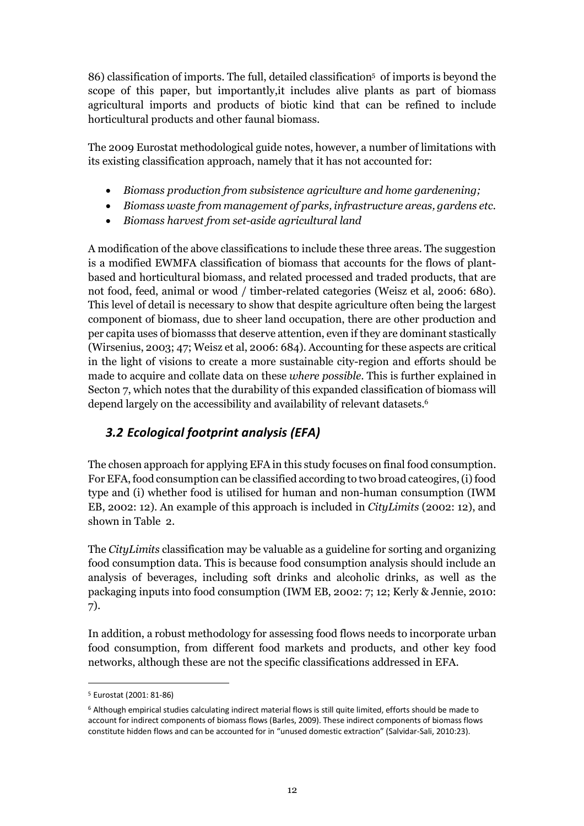86) classification of imports. The full, detailed classification5 of imports is beyond the scope of this paper, but importantly,it includes alive plants as part of biomass agricultural imports and products of biotic kind that can be refined to include horticultural products and other faunal biomass.

The 2009 Eurostat methodological guide notes, however, a number of limitations with its existing classification approach, namely that it has not accounted for:

- *Biomass production from subsistence agriculture and home gardenening;*
- *Biomass waste from management of parks, infrastructure areas, gardens etc.*
- *Biomass harvest from set-aside agricultural land*

A modification of the above classifications to include these three areas. The suggestion is a modified EWMFA classification of biomass that accounts for the flows of plantbased and horticultural biomass, and related processed and traded products, that are not food, feed, animal or wood / timber-related categories (Weisz et al, 2006: 680). This level of detail is necessary to show that despite agriculture often being the largest component of biomass, due to sheer land occupation, there are other production and per capita uses of biomasss that deserve attention, even if they are dominant stastically (Wirsenius, 2003; 47; Weisz et al, 2006: 684). Accounting for these aspects are critical in the light of visions to create a more sustainable city-region and efforts should be made to acquire and collate data on these *where possible*. This is further explained in Secton 7, which notes that the durability of this expanded classification of biomass will depend largely on the accessibility and availability of relevant datasets. 6

## *3.2 Ecological footprint analysis (EFA)*

The chosen approach for applying EFA in this study focuses on final food consumption. For EFA, food consumption can be classified according to two broad cateogires, (i) food type and (i) whether food is utilised for human and non-human consumption (IWM EB, 2002: 12). An example of this approach is included in *CityLimits* (2002: 12), and shown in Table 2.

The *CityLimits* classification may be valuable as a guideline for sorting and organizing food consumption data. This is because food consumption analysis should include an analysis of beverages, including soft drinks and alcoholic drinks, as well as the packaging inputs into food consumption (IWM EB, 2002: 7; 12; Kerly & Jennie, 2010: 7).

In addition, a robust methodology for assessing food flows needs to incorporate urban food consumption, from different food markets and products, and other key food networks, although these are not the specific classifications addressed in EFA.

<sup>5</sup> Eurostat (2001: 81-86)

<sup>6</sup> Although empirical studies calculating indirect material flows is still quite limited, efforts should be made to account for indirect components of biomass flows (Barles, 2009). These indirect components of biomass flows constitute hidden flows and can be accounted for in "unused domestic extraction" (Salvidar-Sali, 2010:23).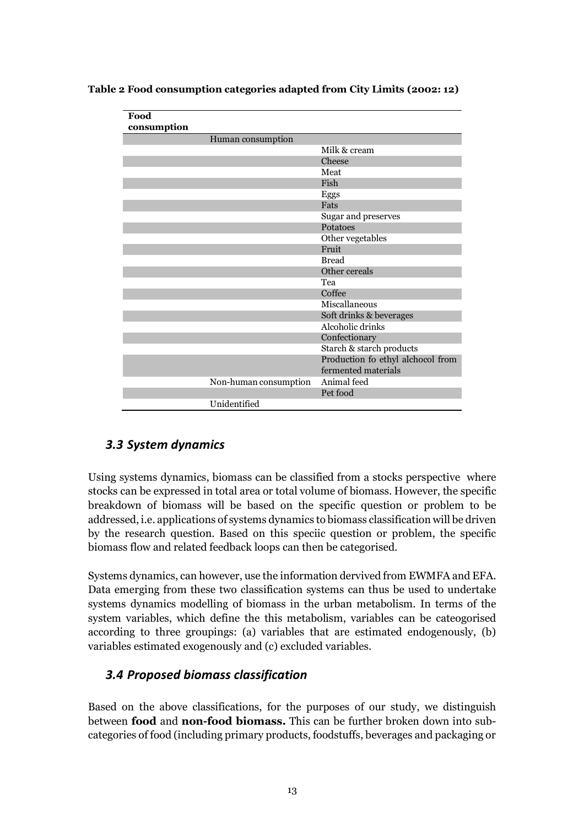| Food                  |                                   |
|-----------------------|-----------------------------------|
| consumption           |                                   |
| Human consumption     |                                   |
|                       | Milk & cream                      |
|                       | Cheese                            |
|                       | Meat                              |
|                       | Fish                              |
|                       | Eggs                              |
|                       | Fats                              |
|                       | Sugar and preserves               |
|                       | Potatoes                          |
|                       | Other vegetables                  |
|                       | Fruit                             |
|                       | <b>Bread</b>                      |
|                       | Other cereals                     |
|                       | Tea                               |
|                       | Coffee                            |
|                       | Miscallaneous                     |
|                       | Soft drinks & beverages           |
|                       | Alcoholic drinks                  |
|                       | Confectionary                     |
|                       | Starch & starch products          |
|                       | Production fo ethyl alchocol from |
|                       | fermented materials               |
| Non-human consumption | Animal feed                       |
|                       | Pet food                          |
| Unidentified          |                                   |

**Table 2 Food consumption categories adapted from City Limits (2002: 12)**

### *3.3 System dynamics*

Using systems dynamics, biomass can be classified from a stocks perspective where stocks can be expressed in total area or total volume of biomass. However, the specific breakdown of biomass will be based on the specific question or problem to be addressed, i.e. applications of systems dynamics to biomass classification will be driven by the research question. Based on this speciic question or problem, the specific biomass flow and related feedback loops can then be categorised.

Systems dynamics, can however, use the information dervived from EWMFA and EFA. Data emerging from these two classification systems can thus be used to undertake systems dynamics modelling of biomass in the urban metabolism. In terms of the system variables, which define the this metabolism, variables can be cateogorised according to three groupings: (a) variables that are estimated endogenously, (b) variables estimated exogenously and (c) excluded variables.

### *3.4 Proposed biomass classification*

Based on the above classifications, for the purposes of our study, we distinguish between **food** and **non-food biomass.** This can be further broken down into subcategories of food (including primary products, foodstuffs, beverages and packaging or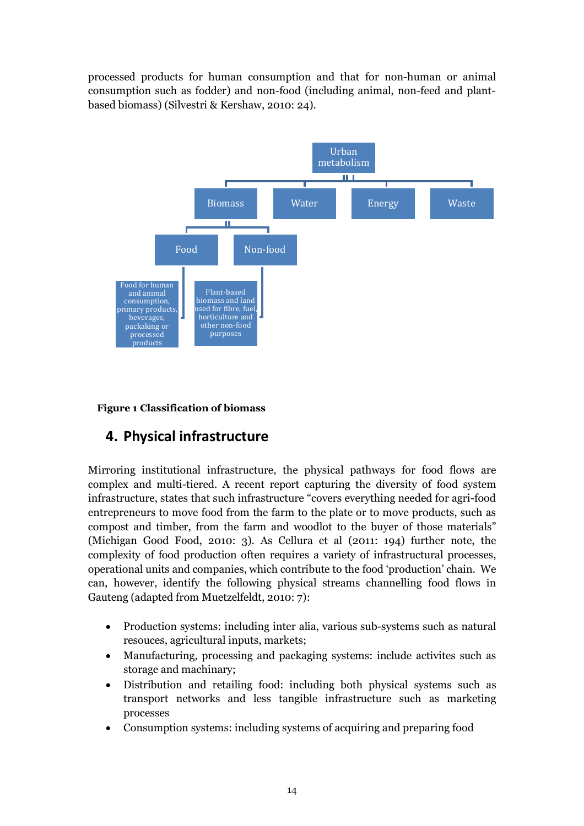processed products for human consumption and that for non-human or animal consumption such as fodder) and non-food (including animal, non-feed and plantbased biomass) (Silvestri & Kershaw, 2010: 24).



**Figure 1 Classification of biomass**

# **4. Physical infrastructure**

Mirroring institutional infrastructure, the physical pathways for food flows are complex and multi-tiered. A recent report capturing the diversity of food system infrastructure, states that such infrastructure "covers everything needed for agri-food entrepreneurs to move food from the farm to the plate or to move products, such as compost and timber, from the farm and woodlot to the buyer of those materials" (Michigan Good Food, 2010: 3). As Cellura et al (2011: 194) further note, the complexity of food production often requires a variety of infrastructural processes, operational units and companies, which contribute to the food 'production' chain. We can, however, identify the following physical streams channelling food flows in Gauteng (adapted from Muetzelfeldt, 2010: 7):

- Production systems: including inter alia, various sub-systems such as natural resouces, agricultural inputs, markets;
- Manufacturing, processing and packaging systems: include activites such as storage and machinary;
- Distribution and retailing food: including both physical systems such as transport networks and less tangible infrastructure such as marketing processes
- Consumption systems: including systems of acquiring and preparing food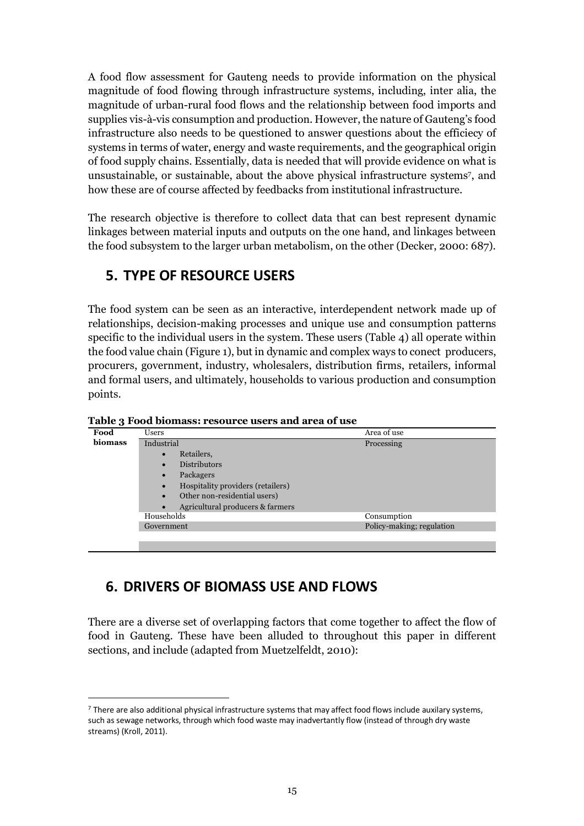A food flow assessment for Gauteng needs to provide information on the physical magnitude of food flowing through infrastructure systems, including, inter alia, the magnitude of urban-rural food flows and the relationship between food imports and supplies vis-à-vis consumption and production. However, the nature of Gauteng's food infrastructure also needs to be questioned to answer questions about the efficiecy of systems in terms of water, energy and waste requirements, and the geographical origin of food supply chains. Essentially, data is needed that will provide evidence on what is unsustainable, or sustainable, about the above physical infrastructure systems7, and how these are of course affected by feedbacks from institutional infrastructure.

The research objective is therefore to collect data that can best represent dynamic linkages between material inputs and outputs on the one hand, and linkages between the food subsystem to the larger urban metabolism, on the other (Decker, 2000: 687).

# **5. TYPE OF RESOURCE USERS**

The food system can be seen as an interactive, interdependent network made up of relationships, decision-making processes and unique use and consumption patterns specific to the individual users in the system. These users (Table 4) all operate within the food value chain (Figure 1), but in dynamic and complex ways to conect producers, procurers, government, industry, wholesalers, distribution firms, retailers, informal and formal users, and ultimately, households to various production and consumption points.

| Food           | Users                                          | Area of use               |
|----------------|------------------------------------------------|---------------------------|
| <b>biomass</b> | Industrial                                     | Processing                |
|                | Retailers,<br>$\bullet$                        |                           |
|                | <b>Distributors</b><br>$\bullet$               |                           |
|                | Packagers<br>$\bullet$                         |                           |
|                | Hospitality providers (retailers)<br>$\bullet$ |                           |
|                | Other non-residential users)<br>$\bullet$      |                           |
|                | Agricultural producers & farmers               |                           |
|                | Households                                     | Consumption               |
|                | Government                                     | Policy-making; regulation |
|                |                                                |                           |

**Table 3 Food biomass: resource users and area of use**

# **6. DRIVERS OF BIOMASS USE AND FLOWS**

l

There are a diverse set of overlapping factors that come together to affect the flow of food in Gauteng. These have been alluded to throughout this paper in different sections, and include (adapted from Muetzelfeldt, 2010):

 $7$  There are also additional physical infrastructure systems that may affect food flows include auxilary systems, such as sewage networks, through which food waste may inadvertantly flow (instead of through dry waste streams) (Kroll, 2011).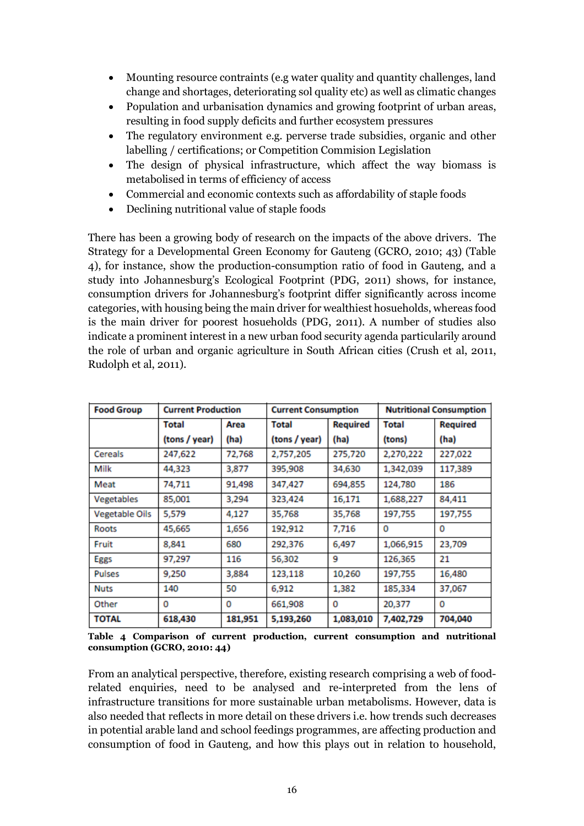- Mounting resource contraints (e.g water quality and quantity challenges, land change and shortages, deteriorating sol quality etc) as well as climatic changes
- Population and urbanisation dynamics and growing footprint of urban areas, resulting in food supply deficits and further ecosystem pressures
- The regulatory environment e.g. perverse trade subsidies, organic and other labelling / certifications; or Competition Commision Legislation
- The design of physical infrastructure, which affect the way biomass is metabolised in terms of efficiency of access
- Commercial and economic contexts such as affordability of staple foods
- Declining nutritional value of staple foods

There has been a growing body of research on the impacts of the above drivers. The Strategy for a Developmental Green Economy for Gauteng (GCRO, 2010; 43) (Table 4), for instance, show the production-consumption ratio of food in Gauteng, and a study into Johannesburg's Ecological Footprint (PDG, 2011) shows, for instance, consumption drivers for Johannesburg's footprint differ significantly across income categories, with housing being the main driver for wealthiest hosueholds, whereas food is the main driver for poorest hosueholds (PDG, 2011). A number of studies also indicate a prominent interest in a new urban food security agenda particularily around the role of urban and organic agriculture in South African cities (Crush et al, 2011, Rudolph et al, 2011).

| <b>Food Group</b><br><b>Current Production</b> |               |         | <b>Current Consumption</b> |                 | <b>Nutritional Consumption</b> |                 |  |
|------------------------------------------------|---------------|---------|----------------------------|-----------------|--------------------------------|-----------------|--|
|                                                | Total         | Area    | Total                      | <b>Required</b> | Total                          | <b>Required</b> |  |
|                                                | (tons / year) | (ha)    | (tons / year)              | (ha)            | (tons)                         | (ha)            |  |
| Cereals                                        | 247,622       | 72,768  | 2,757,205                  | 275,720         | 2,270,222                      | 227,022         |  |
| Milk                                           | 44,323        | 3,877   | 395,908                    | 34,630          | 1,342,039                      | 117,389         |  |
| Meat                                           | 74,711        | 91,498  | 347,427                    | 694,855         | 124,780                        | 186             |  |
| Vegetables                                     | 85,001        | 3,294   | 323,424                    | 16,171          | 1,688,227                      | 84,411          |  |
| <b>Vegetable Oils</b>                          | 5,579         | 4,127   | 35,768                     | 35,768          | 197,755                        | 197,755         |  |
| Roots                                          | 45,665        | 1,656   | 192,912                    | 7.716           | 0                              | 0               |  |
| Fruit                                          | 8,841         | 680     | 292,376                    | 6,497           | 1,066,915                      | 23,709          |  |
| <b>Eggs</b>                                    | 97,297        | 116     | 56,302                     | 9               | 126,365                        | 21              |  |
| <b>Pulses</b>                                  | 9,250         | 3,884   | 123,118                    | 10,260          | 197,755                        | 16,480          |  |
| <b>Nuts</b>                                    | 140           | 50      | 6.912                      | 1,382           | 185,334                        | 37,067          |  |
| Other                                          | 0             | 0       | 661,908                    | 0               | 20,377                         | 0               |  |
| <b>TOTAL</b>                                   | 618,430       | 181,951 | 5,193,260                  | 1,083,010       | 7,402,729                      | 704,040         |  |

**Table 4 Comparison of current production, current consumption and nutritional consumption (GCRO, 2010: 44)**

From an analytical perspective, therefore, existing research comprising a web of foodrelated enquiries, need to be analysed and re-interpreted from the lens of infrastructure transitions for more sustainable urban metabolisms. However, data is also needed that reflects in more detail on these drivers i.e. how trends such decreases in potential arable land and school feedings programmes, are affecting production and consumption of food in Gauteng, and how this plays out in relation to household,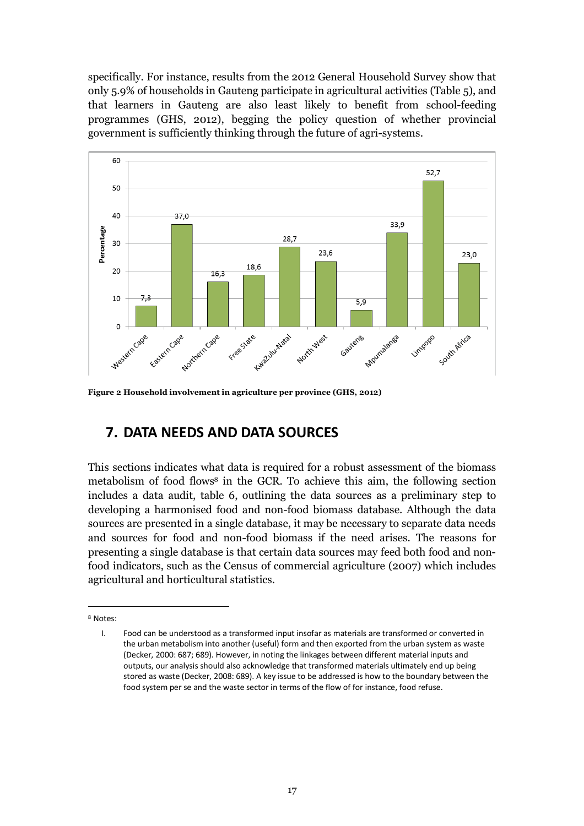specifically. For instance, results from the 2012 General Household Survey show that only 5.9% of households in Gauteng participate in agricultural activities (Table 5), and that learners in Gauteng are also least likely to benefit from school-feeding programmes (GHS, 2012), begging the policy question of whether provincial government is sufficiently thinking through the future of agri-systems.



**Figure 2 Household involvement in agriculture per province (GHS, 2012)**

# **7. DATA NEEDS AND DATA SOURCES**

This sections indicates what data is required for a robust assessment of the biomass metabolism of food flows<sup>8</sup> in the GCR. To achieve this aim, the following section includes a data audit, table 6, outlining the data sources as a preliminary step to developing a harmonised food and non-food biomass database. Although the data sources are presented in a single database, it may be necessary to separate data needs and sources for food and non-food biomass if the need arises. The reasons for presenting a single database is that certain data sources may feed both food and nonfood indicators, such as the Census of commercial agriculture (2007) which includes agricultural and horticultural statistics.

<sup>8</sup> Notes:

I. Food can be understood as a transformed input insofar as materials are transformed or converted in the urban metabolism into another (useful) form and then exported from the urban system as waste (Decker, 2000: 687; 689). However, in noting the linkages between different material inputs and outputs, our analysis should also acknowledge that transformed materials ultimately end up being stored as waste (Decker, 2008: 689). A key issue to be addressed is how to the boundary between the food system per se and the waste sector in terms of the flow of for instance, food refuse.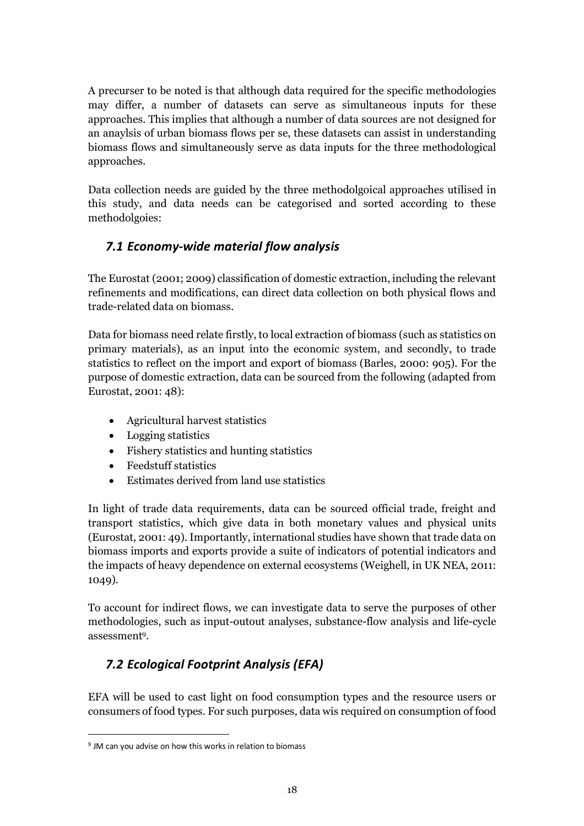A precurser to be noted is that although data required for the specific methodologies may differ, a number of datasets can serve as simultaneous inputs for these approaches. This implies that although a number of data sources are not designed for an anaylsis of urban biomass flows per se, these datasets can assist in understanding biomass flows and simultaneously serve as data inputs for the three methodological approaches.

Data collection needs are guided by the three methodolgoical approaches utilised in this study, and data needs can be categorised and sorted according to these methodolgoies:

### *7.1 Economy-wide material flow analysis*

The Eurostat (2001; 2009) classification of domestic extraction, including the relevant refinements and modifications, can direct data collection on both physical flows and trade-related data on biomass.

Data for biomass need relate firstly, to local extraction of biomass (such as statistics on primary materials), as an input into the economic system, and secondly, to trade statistics to reflect on the import and export of biomass (Barles, 2000: 905). For the purpose of domestic extraction, data can be sourced from the following (adapted from Eurostat, 2001: 48):

- Agricultural harvest statistics
- Logging statistics
- Fishery statistics and hunting statistics
- Feedstuff statistics
- Estimates derived from land use statistics

In light of trade data requirements, data can be sourced official trade, freight and transport statistics, which give data in both monetary values and physical units (Eurostat, 2001: 49). Importantly, international studies have shown that trade data on biomass imports and exports provide a suite of indicators of potential indicators and the impacts of heavy dependence on external ecosystems (Weighell, in UK NEA, 2011: 1049).

To account for indirect flows, we can investigate data to serve the purposes of other methodologies, such as input-outout analyses, substance-flow analysis and life-cycle assessment9.

## *7.2 Ecological Footprint Analysis (EFA)*

EFA will be used to cast light on food consumption types and the resource users or consumers of food types. For such purposes, data wis required on consumption of food

<sup>9</sup> JM can you advise on how this works in relation to biomass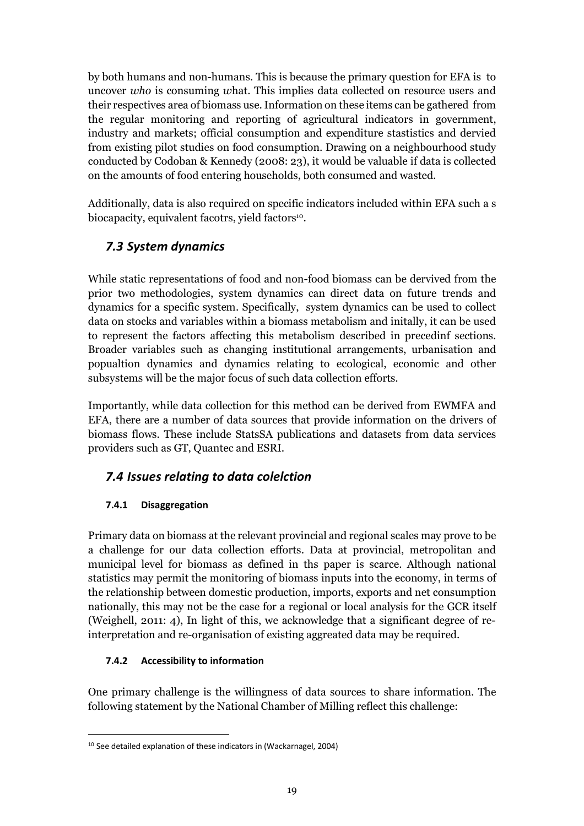by both humans and non-humans. This is because the primary question for EFA is to uncover *who* is consuming *w*hat. This implies data collected on resource users and their respectives area of biomass use. Information on these items can be gathered from the regular monitoring and reporting of agricultural indicators in government, industry and markets; official consumption and expenditure stastistics and dervied from existing pilot studies on food consumption. Drawing on a neighbourhood study conducted by Codoban & Kennedy (2008: 23), it would be valuable if data is collected on the amounts of food entering households, both consumed and wasted.

Additionally, data is also required on specific indicators included within EFA such a s biocapacity, equivalent facotrs, yield factors<sup>10</sup>.

### *7.3 System dynamics*

While static representations of food and non-food biomass can be dervived from the prior two methodologies, system dynamics can direct data on future trends and dynamics for a specific system. Specifically, system dynamics can be used to collect data on stocks and variables within a biomass metabolism and initally, it can be used to represent the factors affecting this metabolism described in precedinf sections. Broader variables such as changing institutional arrangements, urbanisation and popualtion dynamics and dynamics relating to ecological, economic and other subsystems will be the major focus of such data collection efforts.

Importantly, while data collection for this method can be derived from EWMFA and EFA, there are a number of data sources that provide information on the drivers of biomass flows. These include StatsSA publications and datasets from data services providers such as GT, Quantec and ESRI.

### *7.4 Issues relating to data colelction*

### **7.4.1 Disaggregation**

Primary data on biomass at the relevant provincial and regional scales may prove to be a challenge for our data collection efforts. Data at provincial, metropolitan and municipal level for biomass as defined in ths paper is scarce. Although national statistics may permit the monitoring of biomass inputs into the economy, in terms of the relationship between domestic production, imports, exports and net consumption nationally, this may not be the case for a regional or local analysis for the GCR itself (Weighell, 2011: 4), In light of this, we acknowledge that a significant degree of reinterpretation and re-organisation of existing aggreated data may be required.

### **7.4.2 Accessibility to information**

 $\overline{a}$ 

One primary challenge is the willingness of data sources to share information. The following statement by the National Chamber of Milling reflect this challenge:

<sup>10</sup> See detailed explanation of these indicators in (Wackarnagel, 2004)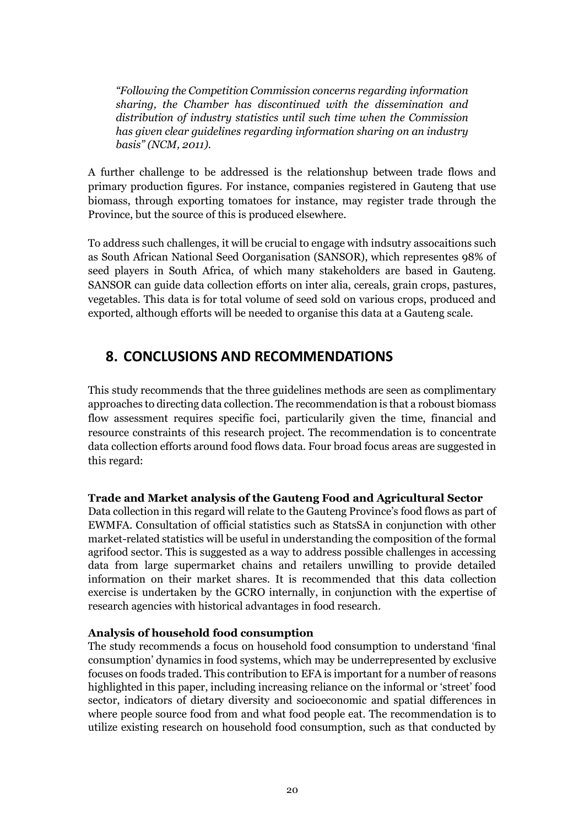*"Following the Competition Commission concerns regarding information sharing, the Chamber has discontinued with the dissemination and distribution of industry statistics until such time when the Commission has given clear guidelines regarding information sharing on an industry basis" (NCM, 2011).* 

A further challenge to be addressed is the relationshup between trade flows and primary production figures. For instance, companies registered in Gauteng that use biomass, through exporting tomatoes for instance, may register trade through the Province, but the source of this is produced elsewhere.

To address such challenges, it will be crucial to engage with indsutry assocaitions such as South African National Seed Oorganisation (SANSOR), which representes 98% of seed players in South Africa, of which many stakeholders are based in Gauteng. SANSOR can guide data collection efforts on inter alia, cereals, grain crops, pastures, vegetables. This data is for total volume of seed sold on various crops, produced and exported, although efforts will be needed to organise this data at a Gauteng scale.

# **8. CONCLUSIONS AND RECOMMENDATIONS**

This study recommends that the three guidelines methods are seen as complimentary approaches to directing data collection. The recommendation is that a roboust biomass flow assessment requires specific foci, particularily given the time, financial and resource constraints of this research project. The recommendation is to concentrate data collection efforts around food flows data. Four broad focus areas are suggested in this regard:

### **Trade and Market analysis of the Gauteng Food and Agricultural Sector**

Data collection in this regard will relate to the Gauteng Province's food flows as part of EWMFA. Consultation of official statistics such as StatsSA in conjunction with other market-related statistics will be useful in understanding the composition of the formal agrifood sector. This is suggested as a way to address possible challenges in accessing data from large supermarket chains and retailers unwilling to provide detailed information on their market shares. It is recommended that this data collection exercise is undertaken by the GCRO internally, in conjunction with the expertise of research agencies with historical advantages in food research.

#### **Analysis of household food consumption**

The study recommends a focus on household food consumption to understand 'final consumption' dynamics in food systems, which may be underrepresented by exclusive focuses on foods traded. This contribution to EFA is important for a number of reasons highlighted in this paper, including increasing reliance on the informal or 'street' food sector, indicators of dietary diversity and socioeconomic and spatial differences in where people source food from and what food people eat. The recommendation is to utilize existing research on household food consumption, such as that conducted by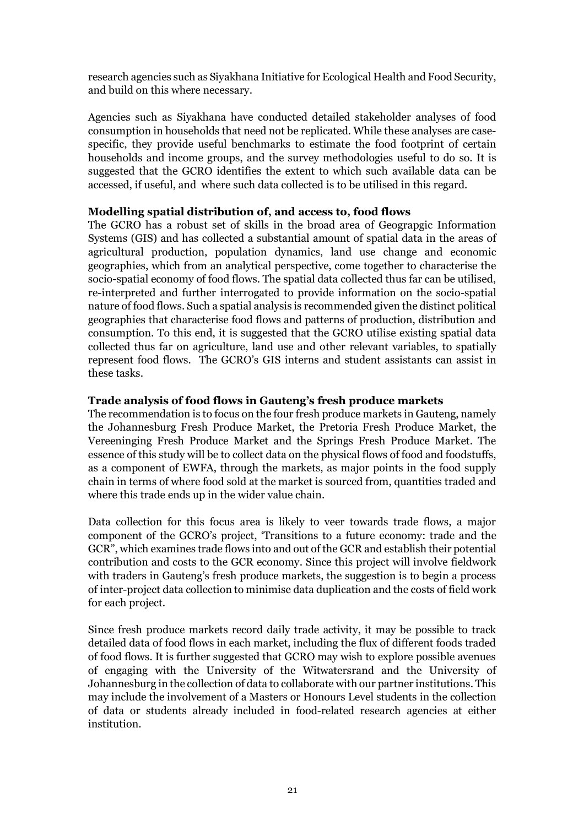research agencies such as Siyakhana Initiative for Ecological Health and Food Security, and build on this where necessary.

Agencies such as Siyakhana have conducted detailed stakeholder analyses of food consumption in households that need not be replicated. While these analyses are casespecific, they provide useful benchmarks to estimate the food footprint of certain households and income groups, and the survey methodologies useful to do so. It is suggested that the GCRO identifies the extent to which such available data can be accessed, if useful, and where such data collected is to be utilised in this regard.

#### **Modelling spatial distribution of, and access to, food flows**

The GCRO has a robust set of skills in the broad area of Geograpgic Information Systems (GIS) and has collected a substantial amount of spatial data in the areas of agricultural production, population dynamics, land use change and economic geographies, which from an analytical perspective, come together to characterise the socio-spatial economy of food flows. The spatial data collected thus far can be utilised, re-interpreted and further interrogated to provide information on the socio-spatial nature of food flows. Such a spatial analysis is recommended given the distinct political geographies that characterise food flows and patterns of production, distribution and consumption. To this end, it is suggested that the GCRO utilise existing spatial data collected thus far on agriculture, land use and other relevant variables, to spatially represent food flows. The GCRO's GIS interns and student assistants can assist in these tasks.

#### **Trade analysis of food flows in Gauteng's fresh produce markets**

The recommendation is to focus on the four fresh produce markets in Gauteng, namely the Johannesburg Fresh Produce Market, the Pretoria Fresh Produce Market, the Vereeninging Fresh Produce Market and the Springs Fresh Produce Market. The essence of this study will be to collect data on the physical flows of food and foodstuffs, as a component of EWFA, through the markets, as major points in the food supply chain in terms of where food sold at the market is sourced from, quantities traded and where this trade ends up in the wider value chain.

Data collection for this focus area is likely to veer towards trade flows, a major component of the GCRO's project, 'Transitions to a future economy: trade and the GCR", which examines trade flows into and out of the GCR and establish their potential contribution and costs to the GCR economy. Since this project will involve fieldwork with traders in Gauteng's fresh produce markets, the suggestion is to begin a process of inter-project data collection to minimise data duplication and the costs of field work for each project.

Since fresh produce markets record daily trade activity, it may be possible to track detailed data of food flows in each market, including the flux of different foods traded of food flows. It is further suggested that GCRO may wish to explore possible avenues of engaging with the University of the Witwatersrand and the University of Johannesburg in the collection of data to collaborate with our partner institutions. This may include the involvement of a Masters or Honours Level students in the collection of data or students already included in food-related research agencies at either institution.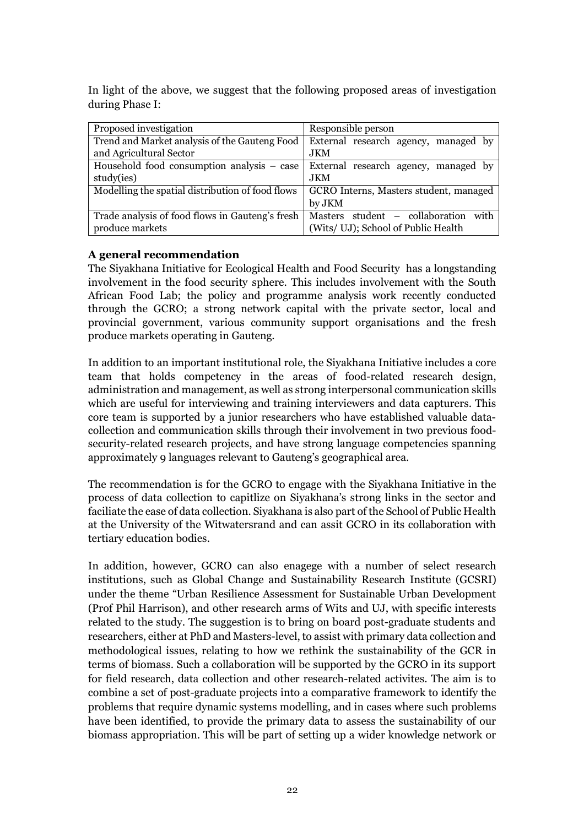In light of the above, we suggest that the following proposed areas of investigation during Phase I:

| Proposed investigation                           | Responsible person                      |
|--------------------------------------------------|-----------------------------------------|
| Trend and Market analysis of the Gauteng Food    | External research agency, managed by    |
| and Agricultural Sector                          | <b>JKM</b>                              |
| Household food consumption analysis – case       | External research agency, managed by    |
| study(ies)                                       | <b>JKM</b>                              |
| Modelling the spatial distribution of food flows | GCRO Interns, Masters student, managed  |
|                                                  | by JKM                                  |
| Trade analysis of food flows in Gauteng's fresh  | with<br>Masters student – collaboration |
| produce markets                                  | (Wits/ UJ); School of Public Health     |

#### **A general recommendation**

The Siyakhana Initiative for Ecological Health and Food Security has a longstanding involvement in the food security sphere. This includes involvement with the South African Food Lab; the policy and programme analysis work recently conducted through the GCRO; a strong network capital with the private sector, local and provincial government, various community support organisations and the fresh produce markets operating in Gauteng.

In addition to an important institutional role, the Siyakhana Initiative includes a core team that holds competency in the areas of food-related research design, administration and management, as well as strong interpersonal communication skills which are useful for interviewing and training interviewers and data capturers. This core team is supported by a junior researchers who have established valuable datacollection and communication skills through their involvement in two previous foodsecurity-related research projects, and have strong language competencies spanning approximately 9 languages relevant to Gauteng's geographical area.

The recommendation is for the GCRO to engage with the Siyakhana Initiative in the process of data collection to capitlize on Siyakhana's strong links in the sector and faciliate the ease of data collection. Siyakhana is also part of the School of Public Health at the University of the Witwatersrand and can assit GCRO in its collaboration with tertiary education bodies.

In addition, however, GCRO can also enagege with a number of select research institutions, such as Global Change and Sustainability Research Institute (GCSRI) under the theme "Urban Resilience Assessment for Sustainable Urban Development (Prof Phil Harrison), and other research arms of Wits and UJ, with specific interests related to the study. The suggestion is to bring on board post-graduate students and researchers, either at PhD and Masters-level, to assist with primary data collection and methodological issues, relating to how we rethink the sustainability of the GCR in terms of biomass. Such a collaboration will be supported by the GCRO in its support for field research, data collection and other research-related activites. The aim is to combine a set of post-graduate projects into a comparative framework to identify the problems that require dynamic systems modelling, and in cases where such problems have been identified, to provide the primary data to assess the sustainability of our biomass appropriation. This will be part of setting up a wider knowledge network or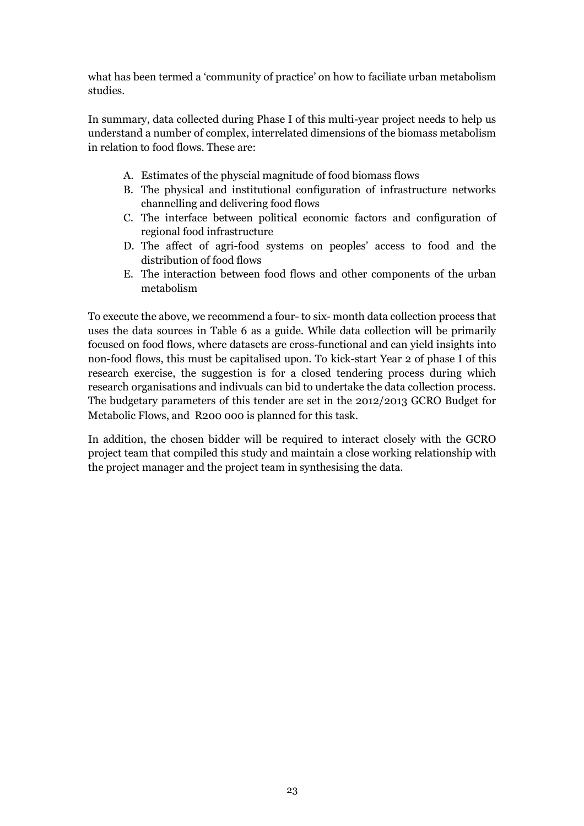what has been termed a 'community of practice' on how to faciliate urban metabolism studies.

In summary, data collected during Phase I of this multi-year project needs to help us understand a number of complex, interrelated dimensions of the biomass metabolism in relation to food flows. These are:

- A. Estimates of the physcial magnitude of food biomass flows
- B. The physical and institutional configuration of infrastructure networks channelling and delivering food flows
- C. The interface between political economic factors and configuration of regional food infrastructure
- D. The affect of agri-food systems on peoples' access to food and the distribution of food flows
- E. The interaction between food flows and other components of the urban metabolism

To execute the above, we recommend a four- to six- month data collection process that uses the data sources in Table 6 as a guide. While data collection will be primarily focused on food flows, where datasets are cross-functional and can yield insights into non-food flows, this must be capitalised upon. To kick-start Year 2 of phase I of this research exercise, the suggestion is for a closed tendering process during which research organisations and indivuals can bid to undertake the data collection process. The budgetary parameters of this tender are set in the 2012/2013 GCRO Budget for Metabolic Flows, and R200 000 is planned for this task.

In addition, the chosen bidder will be required to interact closely with the GCRO project team that compiled this study and maintain a close working relationship with the project manager and the project team in synthesising the data.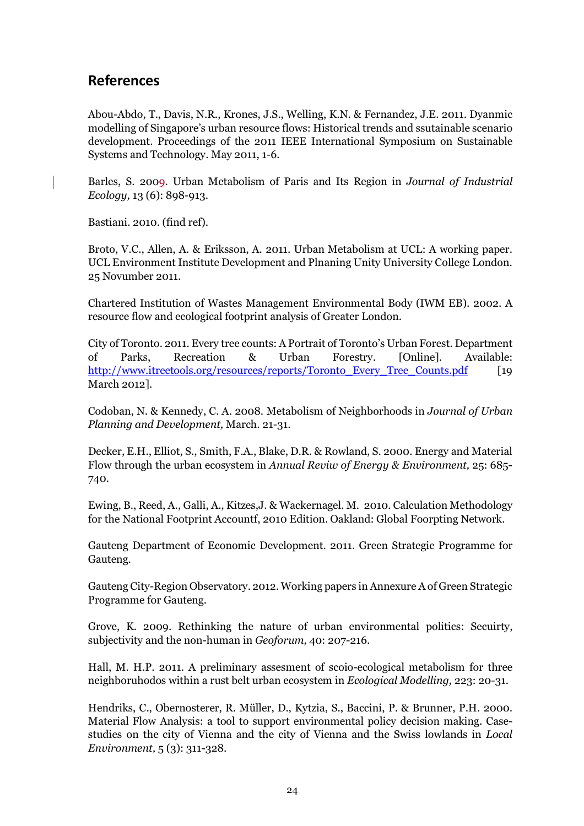# **References**

Abou-Abdo, T., Davis, N.R., Krones, J.S., Welling, K.N. & Fernandez, J.E. 2011. Dyanmic modelling of Singapore's urban resource flows: Historical trends and ssutainable scenario development. Proceedings of the 2011 IEEE International Symposium on Sustainable Systems and Technology. May 2011, 1-6.

Barles, S. 2009. Urban Metabolism of Paris and Its Region in *Journal of Industrial Ecology,* 13 (6): 898-913.

Bastiani. 2010. (find ref).

Broto, V.C., Allen, A. & Eriksson, A. 2011. Urban Metabolism at UCL: A working paper. UCL Environment Institute Development and Plnaning Unity University College London. 25 Novumber 2011.

Chartered Institution of Wastes Management Environmental Body (IWM EB). 2002. A resource flow and ecological footprint analysis of Greater London.

City of Toronto. 2011. Every tree counts: A Portrait of Toronto's Urban Forest. Department of Parks, Recreation & Urban Forestry. [Online]. Available: http://www.itreetools.org/resources/reports/Toronto\_Every\_Tree\_Counts.pdf [19] March 2012].

Codoban, N. & Kennedy, C. A. 2008. Metabolism of Neighborhoods in *Journal of Urban Planning and Development,* March. 21-31.

Decker, E.H., Elliot, S., Smith, F.A., Blake, D.R. & Rowland, S. 2000. Energy and Material Flow through the urban ecosystem in *Annual Reviw of Energy & Environment,* 25: 685- 740.

Ewing, B., Reed, A., Galli, A., Kitzes,J. & Wackernagel. M. 2010. Calculation Methodology for the National Footprint Accountf, 2010 Edition. Oakland: Global Foorpting Network.

Gauteng Department of Economic Development. 2011. Green Strategic Programme for Gauteng.

Gauteng City-Region Observatory. 2012. Working papers in Annexure A of Green Strategic Programme for Gauteng.

Grove, K. 2009. Rethinking the nature of urban environmental politics: Secuirty, subjectivity and the non-human in *Geoforum,* 40: 207-216.

Hall, M. H.P. 2011. A preliminary assesment of scoio-ecological metabolism for three neighboruhodos within a rust belt urban ecosystem in *Ecological Modelling,* 223: 20-31.

Hendriks, C., Obernosterer, R. Müller, D., Kytzia, S., Baccini, P. & Brunner, P.H. 2000. Material Flow Analysis: a tool to support environmental policy decision making. Casestudies on the city of Vienna and the city of Vienna and the Swiss lowlands in *Local Environment,* 5 (3): 311-328.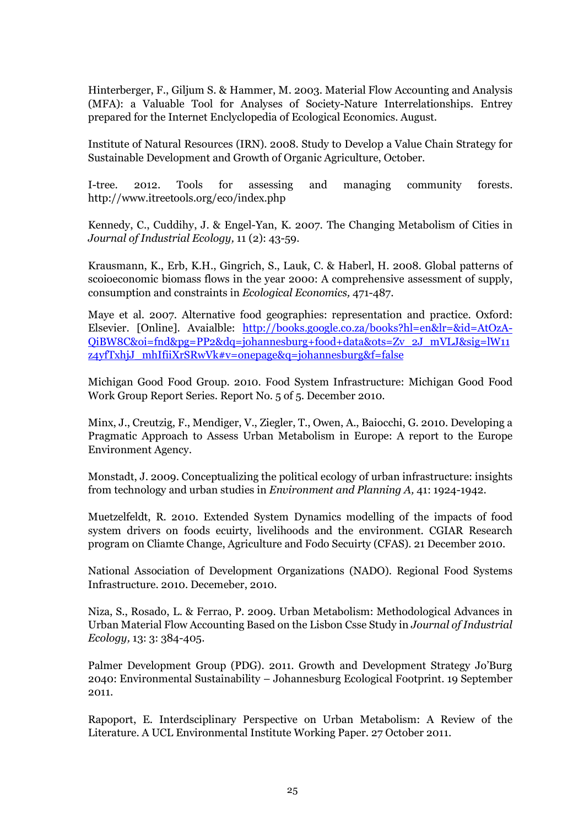Hinterberger, F., Giljum S. & Hammer, M. 2003. Material Flow Accounting and Analysis (MFA): a Valuable Tool for Analyses of Society-Nature Interrelationships. Entrey prepared for the Internet Enclyclopedia of Ecological Economics. August.

Institute of Natural Resources (IRN). 2008. Study to Develop a Value Chain Strategy for Sustainable Development and Growth of Organic Agriculture, October.

I-tree. 2012. Tools for assessing and managing community forests. http://www.itreetools.org/eco/index.php

Kennedy, C., Cuddihy, J. & Engel-Yan, K. 2007. The Changing Metabolism of Cities in *Journal of Industrial Ecology,* 11 (2): 43-59.

Krausmann, K., Erb, K.H., Gingrich, S., Lauk, C. & Haberl, H. 2008. Global patterns of scoioeconomic biomass flows in the year 2000: A comprehensive assessment of supply, consumption and constraints in *Ecological Economics,* 471-487.

Maye et al. 2007. Alternative food geographies: representation and practice. Oxford: Elsevier. [Online]. Avaialble: http://books.google.co.za/books?hl=en&lr=&id=AtOzA-QiBW8C&oi=fnd&pg=PP2&dq=johannesburg+food+data&ots=Zv\_2J\_mVLJ&sig=lW11 z4yfTxhjJ\_mhIfiiXrSRwVk#v=onepage&q=johannesburg&f=false

Michigan Good Food Group. 2010. Food System Infrastructure: Michigan Good Food Work Group Report Series. Report No. 5 of 5. December 2010.

Minx, J., Creutzig, F., Mendiger, V., Ziegler, T., Owen, A., Baiocchi, G. 2010. Developing a Pragmatic Approach to Assess Urban Metabolism in Europe: A report to the Europe Environment Agency.

Monstadt, J. 2009. Conceptualizing the political ecology of urban infrastructure: insights from technology and urban studies in *Environment and Planning A,* 41: 1924-1942.

Muetzelfeldt, R. 2010. Extended System Dynamics modelling of the impacts of food system drivers on foods ecuirty, livelihoods and the environment. CGIAR Research program on Cliamte Change, Agriculture and Fodo Secuirty (CFAS). 21 December 2010.

National Association of Development Organizations (NADO). Regional Food Systems Infrastructure. 2010. Decemeber, 2010.

Niza, S., Rosado, L. & Ferrao, P. 2009. Urban Metabolism: Methodological Advances in Urban Material Flow Accounting Based on the Lisbon Csse Study in *Journal of Industrial Ecology,* 13: 3: 384-405.

Palmer Development Group (PDG). 2011. Growth and Development Strategy Jo'Burg 2040: Environmental Sustainability – Johannesburg Ecological Footprint. 19 September 2011.

Rapoport, E. Interdsciplinary Perspective on Urban Metabolism: A Review of the Literature. A UCL Environmental Institute Working Paper. 27 October 2011.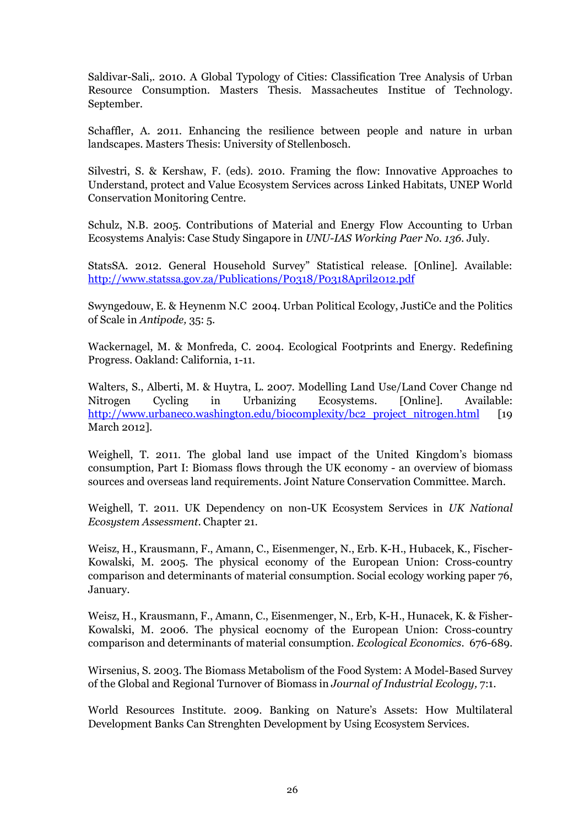Saldivar-Sali,. 2010. A Global Typology of Cities: Classification Tree Analysis of Urban Resource Consumption. Masters Thesis. Massacheutes Institue of Technology. September.

Schaffler, A. 2011. Enhancing the resilience between people and nature in urban landscapes. Masters Thesis: University of Stellenbosch.

Silvestri, S. & Kershaw, F. (eds). 2010. Framing the flow: Innovative Approaches to Understand, protect and Value Ecosystem Services across Linked Habitats, UNEP World Conservation Monitoring Centre.

Schulz, N.B. 2005. Contributions of Material and Energy Flow Accounting to Urban Ecosystems Analyis: Case Study Singapore in *UNU-IAS Working Paer No. 136*. July.

StatsSA. 2012. General Household Survey" Statistical release. [Online]. Available: http://www.statssa.gov.za/Publications/P0318/P0318April2012.pdf

Swyngedouw, E. & Heynenm N.C 2004. Urban Political Ecology, JustiCe and the Politics of Scale in *Antipode,* 35: 5.

Wackernagel, M. & Monfreda, C. 2004. Ecological Footprints and Energy. Redefining Progress. Oakland: California, 1-11.

Walters, S., Alberti, M. & Huytra, L. 2007. Modelling Land Use/Land Cover Change nd Nitrogen Cycling in Urbanizing Ecosystems. [Online]. Available: http://www.urbaneco.washington.edu/biocomplexity/bc2\_project\_nitrogen.html [19] March 2012].

Weighell, T. 2011. The global land use impact of the United Kingdom's biomass consumption, Part I: Biomass flows through the UK economy - an overview of biomass sources and overseas land requirements. Joint Nature Conservation Committee. March.

Weighell, T. 2011. UK Dependency on non-UK Ecosystem Services in *UK National Ecosystem Assessment*. Chapter 21.

Weisz, H., Krausmann, F., Amann, C., Eisenmenger, N., Erb. K-H., Hubacek, K., Fischer-Kowalski, M. 2005. The physical economy of the European Union: Cross-country comparison and determinants of material consumption. Social ecology working paper 76, January.

Weisz, H., Krausmann, F., Amann, C., Eisenmenger, N., Erb, K-H., Hunacek, K. & Fisher-Kowalski, M. 2006. The physical eocnomy of the European Union: Cross-country comparison and determinants of material consumption. *Ecological Economics.* 676-689.

Wirsenius, S. 2003. The Biomass Metabolism of the Food System: A Model-Based Survey of the Global and Regional Turnover of Biomass in *Journal of Industrial Ecology,* 7:1.

World Resources Institute. 2009. Banking on Nature's Assets: How Multilateral Development Banks Can Strenghten Development by Using Ecosystem Services.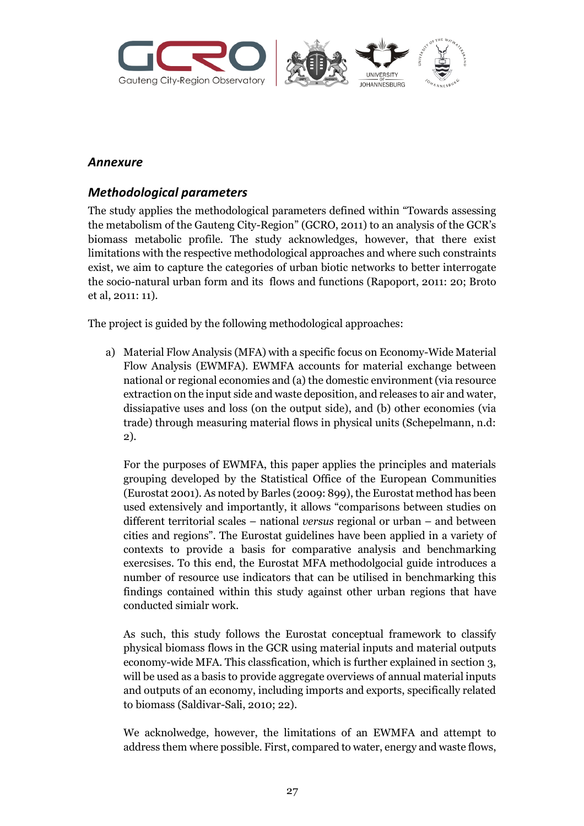

### *Annexure*

### *Methodological parameters*

The study applies the methodological parameters defined within "Towards assessing the metabolism of the Gauteng City-Region" (GCRO, 2011) to an analysis of the GCR's biomass metabolic profile. The study acknowledges, however, that there exist limitations with the respective methodological approaches and where such constraints exist, we aim to capture the categories of urban biotic networks to better interrogate the socio-natural urban form and its flows and functions (Rapoport, 2011: 20; Broto et al, 2011: 11).

The project is guided by the following methodological approaches:

a) Material Flow Analysis (MFA) with a specific focus on Economy-Wide Material Flow Analysis (EWMFA). EWMFA accounts for material exchange between national or regional economies and (a) the domestic environment (via resource extraction on the input side and waste deposition, and releases to air and water, dissiapative uses and loss (on the output side), and (b) other economies (via trade) through measuring material flows in physical units (Schepelmann, n.d: 2).

For the purposes of EWMFA, this paper applies the principles and materials grouping developed by the Statistical Office of the European Communities (Eurostat 2001). As noted by Barles (2009: 899), the Eurostat method has been used extensively and importantly, it allows "comparisons between studies on different territorial scales – national *versus* regional or urban – and between cities and regions". The Eurostat guidelines have been applied in a variety of contexts to provide a basis for comparative analysis and benchmarking exercsises. To this end, the Eurostat MFA methodolgocial guide introduces a number of resource use indicators that can be utilised in benchmarking this findings contained within this study against other urban regions that have conducted simialr work.

As such, this study follows the Eurostat conceptual framework to classify physical biomass flows in the GCR using material inputs and material outputs economy-wide MFA. This classfication, which is further explained in section 3, will be used as a basis to provide aggregate overviews of annual material inputs and outputs of an economy, including imports and exports, specifically related to biomass (Saldivar-Sali, 2010; 22).

We acknolwedge, however, the limitations of an EWMFA and attempt to address them where possible. First, compared to water, energy and waste flows,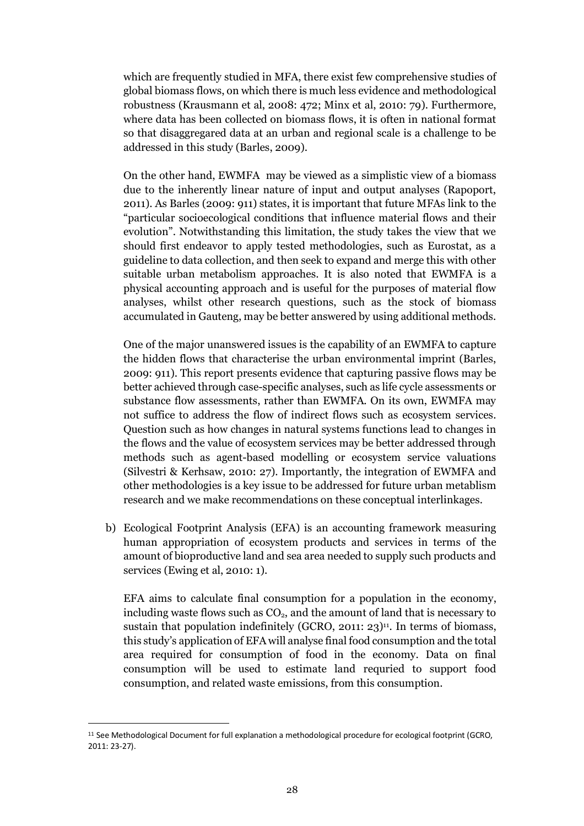which are frequently studied in MFA, there exist few comprehensive studies of global biomass flows, on which there is much less evidence and methodological robustness (Krausmann et al, 2008: 472; Minx et al, 2010: 79). Furthermore, where data has been collected on biomass flows, it is often in national format so that disaggregared data at an urban and regional scale is a challenge to be addressed in this study (Barles, 2009).

On the other hand, EWMFA may be viewed as a simplistic view of a biomass due to the inherently linear nature of input and output analyses (Rapoport, 2011). As Barles (2009: 911) states, it is important that future MFAs link to the "particular socioecological conditions that influence material flows and their evolution". Notwithstanding this limitation, the study takes the view that we should first endeavor to apply tested methodologies, such as Eurostat, as a guideline to data collection, and then seek to expand and merge this with other suitable urban metabolism approaches. It is also noted that EWMFA is a physical accounting approach and is useful for the purposes of material flow analyses, whilst other research questions, such as the stock of biomass accumulated in Gauteng, may be better answered by using additional methods.

One of the major unanswered issues is the capability of an EWMFA to capture the hidden flows that characterise the urban environmental imprint (Barles, 2009: 911). This report presents evidence that capturing passive flows may be better achieved through case-specific analyses, such as life cycle assessments or substance flow assessments, rather than EWMFA. On its own, EWMFA may not suffice to address the flow of indirect flows such as ecosystem services. Question such as how changes in natural systems functions lead to changes in the flows and the value of ecosystem services may be better addressed through methods such as agent-based modelling or ecosystem service valuations (Silvestri & Kerhsaw, 2010: 27). Importantly, the integration of EWMFA and other methodologies is a key issue to be addressed for future urban metablism research and we make recommendations on these conceptual interlinkages.

b) Ecological Footprint Analysis (EFA) is an accounting framework measuring human appropriation of ecosystem products and services in terms of the amount of bioproductive land and sea area needed to supply such products and services (Ewing et al, 2010: 1).

EFA aims to calculate final consumption for a population in the economy, including waste flows such as  $CO<sub>2</sub>$ , and the amount of land that is necessary to sustain that population indefinitely (GCRO, 2011: 23) $^{11}$ . In terms of biomass, this study's application of EFA will analyse final food consumption and the total area required for consumption of food in the economy. Data on final consumption will be used to estimate land requried to support food consumption, and related waste emissions, from this consumption.

<sup>11</sup> See Methodological Document for full explanation a methodological procedure for ecological footprint (GCRO, 2011: 23-27).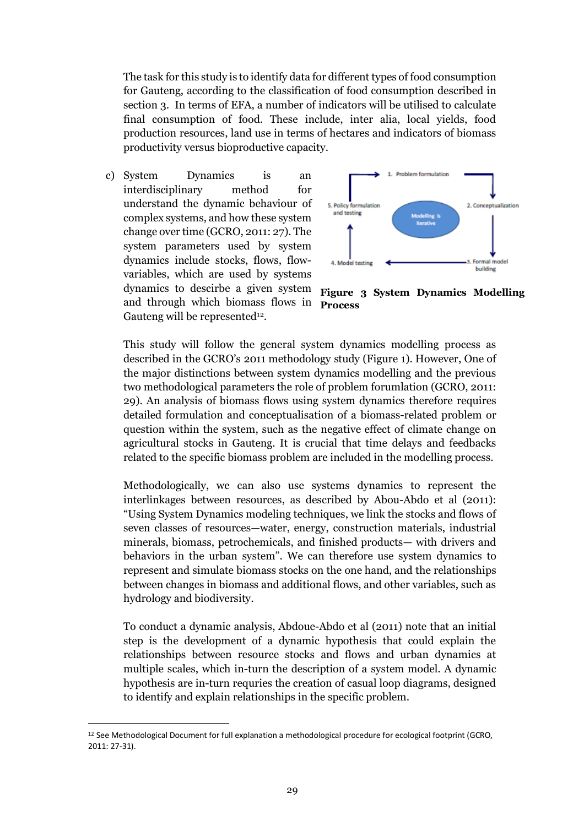The task for this study is to identify data for different types of food consumption for Gauteng, according to the classification of food consumption described in section 3. In terms of EFA, a number of indicators will be utilised to calculate final consumption of food. These include, inter alia, local yields, food production resources, land use in terms of hectares and indicators of biomass productivity versus bioproductive capacity.

c) System Dynamics is an interdisciplinary method for understand the dynamic behaviour of complex systems, and how these system change over time (GCRO, 2011: 27). The system parameters used by system dynamics include stocks, flows, flowvariables, which are used by systems dynamics to descirbe a given system and through which biomass flows in Gauteng will be represented $12$ .



**Figure 3 System Dynamics Modelling Process**

This study will follow the general system dynamics modelling process as described in the GCRO's 2011 methodology study (Figure 1). However, One of the major distinctions between system dynamics modelling and the previous two methodological parameters the role of problem forumlation (GCRO, 2011: 29). An analysis of biomass flows using system dynamics therefore requires detailed formulation and conceptualisation of a biomass-related problem or question within the system, such as the negative effect of climate change on agricultural stocks in Gauteng. It is crucial that time delays and feedbacks related to the specific biomass problem are included in the modelling process.

Methodologically, we can also use systems dynamics to represent the interlinkages between resources, as described by Abou-Abdo et al (2011): "Using System Dynamics modeling techniques, we link the stocks and flows of seven classes of resources—water, energy, construction materials, industrial minerals, biomass, petrochemicals, and finished products— with drivers and behaviors in the urban system". We can therefore use system dynamics to represent and simulate biomass stocks on the one hand, and the relationships between changes in biomass and additional flows, and other variables, such as hydrology and biodiversity.

To conduct a dynamic analysis, Abdoue-Abdo et al (2011) note that an initial step is the development of a dynamic hypothesis that could explain the relationships between resource stocks and flows and urban dynamics at multiple scales, which in-turn the description of a system model. A dynamic hypothesis are in-turn requries the creation of casual loop diagrams, designed to identify and explain relationships in the specific problem.

<sup>12</sup> See Methodological Document for full explanation a methodological procedure for ecological footprint (GCRO, 2011: 27-31).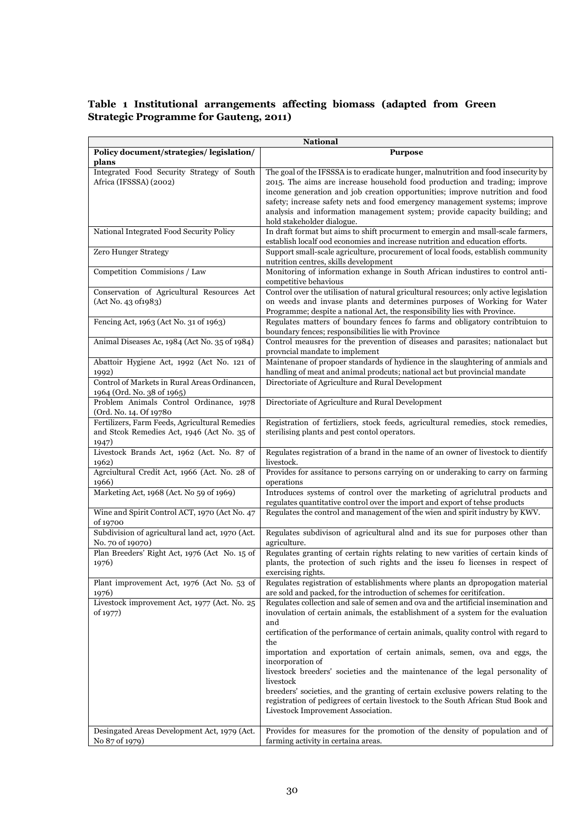#### **Table 1 Institutional arrangements affecting biomass (adapted from Green Strategic Programme for Gauteng, 2011)**

|                                                                                                        | <b>National</b>                                                                                                                                                                                                                                                                                                                                                                                                                             |
|--------------------------------------------------------------------------------------------------------|---------------------------------------------------------------------------------------------------------------------------------------------------------------------------------------------------------------------------------------------------------------------------------------------------------------------------------------------------------------------------------------------------------------------------------------------|
| Policy document/strategies/ legislation/                                                               | <b>Purpose</b>                                                                                                                                                                                                                                                                                                                                                                                                                              |
| plans                                                                                                  |                                                                                                                                                                                                                                                                                                                                                                                                                                             |
| Integrated Food Security Strategy of South<br>Africa (IFSSSA) (2002)                                   | The goal of the IFSSSA is to eradicate hunger, malnutrition and food insecurity by<br>2015. The aims are increase household food production and trading; improve<br>income generation and job creation opportunities; improve nutrition and food<br>safety; increase safety nets and food emergency management systems; improve<br>analysis and information management system; provide capacity building; and<br>hold stakeholder dialogue. |
| National Integrated Food Security Policy                                                               | In draft format but aims to shift procurment to emergin and msall-scale farmers,<br>establish localf ood economies and increase nutrition and education efforts.                                                                                                                                                                                                                                                                            |
| <b>Zero Hunger Strategy</b>                                                                            | Support small-scale agriculture, procurement of local foods, establish community<br>nutrition centres, skills development                                                                                                                                                                                                                                                                                                                   |
| Competition Commisions / Law                                                                           | Monitoring of information exhange in South African industires to control anti-<br>competitive behavious                                                                                                                                                                                                                                                                                                                                     |
| Conservation of Agricultural Resources Act<br>(Act No. 43 of 1983)                                     | Control over the utilisation of natural gricultural resources; only active legislation<br>on weeds and invase plants and determines purposes of Working for Water<br>Programme; despite a national Act, the responsibility lies with Province.                                                                                                                                                                                              |
| Fencing Act, 1963 (Act No. 31 of 1963)                                                                 | Regulates matters of boundary fences fo farms and obligatory contribtuion to<br>boundary fences; responsibilities lie with Province                                                                                                                                                                                                                                                                                                         |
| Animal Diseases Ac, 1984 (Act No. 35 of 1984)                                                          | Control meausres for the prevention of diseases and parasites; nationalact but<br>provncial mandate to implement                                                                                                                                                                                                                                                                                                                            |
| Abattoir Hygiene Act, 1992 (Act No. 121 of<br>1992)                                                    | Maintenane of propoer standards of hydience in the slaughtering of anmials and<br>handling of meat and animal prodcuts; national act but provincial mandate                                                                                                                                                                                                                                                                                 |
| Control of Markets in Rural Areas Ordinancen,<br>1964 (Ord. No. 38 of 1965)                            | Directoriate of Agriculture and Rural Development                                                                                                                                                                                                                                                                                                                                                                                           |
| Problem Animals Control Ordinance, 1978<br>(Ord. No. 14. Of 19780)                                     | Directoriate of Agriculture and Rural Development                                                                                                                                                                                                                                                                                                                                                                                           |
| Fertilizers, Farm Feeds, Agricultural Remedies<br>and Stcok Remedies Act, 1946 (Act No. 35 of<br>1947) | Registration of fertizliers, stock feeds, agricultural remedies, stock remedies,<br>sterilising plants and pest contol operators.                                                                                                                                                                                                                                                                                                           |
| Livestock Brands Act, 1962 (Act. No. 87 of<br>1962)                                                    | Regulates registration of a brand in the name of an owner of livestock to dientify<br>livestock.                                                                                                                                                                                                                                                                                                                                            |
| Agrciultural Credit Act, 1966 (Act. No. 28 of<br>1966)                                                 | Provides for assitance to persons carrying on or underaking to carry on farming<br>operations                                                                                                                                                                                                                                                                                                                                               |
| Marketing Act, 1968 (Act. No 59 of 1969)                                                               | Introduces systems of control over the marketing of agriclutral products and<br>regulates quantitative control over the import and export of tehse products                                                                                                                                                                                                                                                                                 |
| Wine and Spirit Control ACT, 1970 (Act No. 47<br>of 19700                                              | Regulates the control and management of the wien and spirit industry by KWV.                                                                                                                                                                                                                                                                                                                                                                |
| Subdivision of agricultural land act, 1970 (Act.<br>No. 70 of 19070)                                   | Regulates subdivison of agricultural alnd and its sue for purposes other than<br>agriculture.                                                                                                                                                                                                                                                                                                                                               |
| Plan Breeders' Right Act, 1976 (Act No. 15 of<br>1976)                                                 | Regulates granting of certain rights relating to new varities of certain kinds of<br>plants, the protection of such rights and the isseu fo licenses in respect of<br>exercising rights.                                                                                                                                                                                                                                                    |
| Plant improvement Act, 1976 (Act No. 53 of<br>1976)                                                    | Regulates registration of establishments where plants an dpropogation material<br>are sold and packed, for the introduction of schemes for ceritifcation.                                                                                                                                                                                                                                                                                   |
| Livestock improvement Act, 1977 (Act. No. 25<br>of 1977)                                               | Regulates collection and sale of semen and ova and the artificial insemination and<br>inovulation of certain animals, the establishment of a system for the evaluation<br>and<br>certification of the performance of certain animals, quality control with regard to                                                                                                                                                                        |
|                                                                                                        | the<br>importation and exportation of certain animals, semen, ova and eggs, the                                                                                                                                                                                                                                                                                                                                                             |
|                                                                                                        | incorporation of<br>livestock breeders' societies and the maintenance of the legal personality of<br>livestock                                                                                                                                                                                                                                                                                                                              |
|                                                                                                        | breeders' societies, and the granting of certain exclusive powers relating to the<br>registration of pedigrees of certain livestock to the South African Stud Book and<br>Livestock Improvement Association.                                                                                                                                                                                                                                |
| Desingated Areas Development Act, 1979 (Act.                                                           | Provides for measures for the promotion of the density of population and of                                                                                                                                                                                                                                                                                                                                                                 |
| No 87 of 1979)                                                                                         | farming activity in certaina areas.                                                                                                                                                                                                                                                                                                                                                                                                         |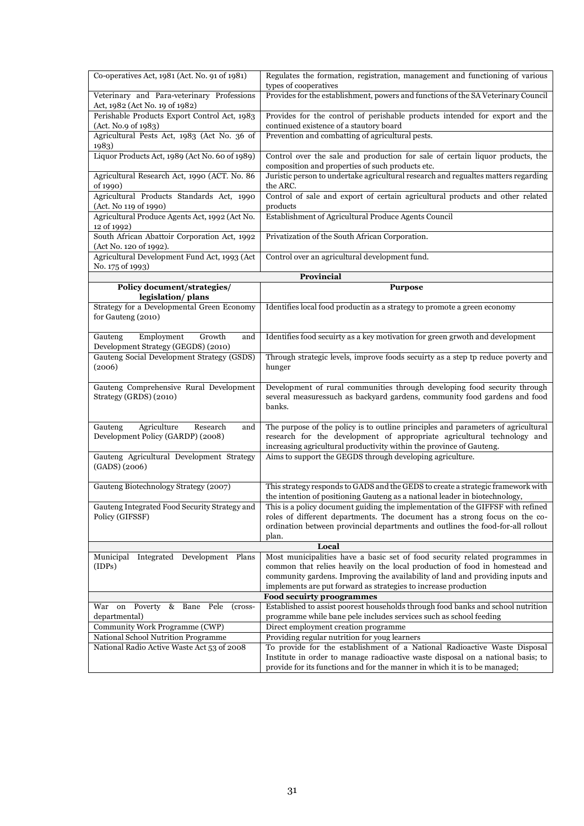| Co-operatives Act, 1981 (Act. No. 91 of 1981)                                     | Regulates the formation, registration, management and functioning of various<br>types of cooperatives                                                                                                                                                                                                           |
|-----------------------------------------------------------------------------------|-----------------------------------------------------------------------------------------------------------------------------------------------------------------------------------------------------------------------------------------------------------------------------------------------------------------|
| Veterinary and Para-veterinary Professions<br>Act, 1982 (Act No. 19 of 1982)      | Provides for the establishment, powers and functions of the SA Veterinary Council                                                                                                                                                                                                                               |
| Perishable Products Export Control Act, 1983<br>(Act. No.9 of 1983)               | Provides for the control of perishable products intended for export and the<br>continued existence of a stautory board                                                                                                                                                                                          |
| Agricultural Pests Act, 1983 (Act No. 36 of<br>1983)                              | Prevention and combatting of agricultural pests.                                                                                                                                                                                                                                                                |
| Liquor Products Act, 1989 (Act No. 60 of 1989)                                    | Control over the sale and production for sale of certain liquor products, the<br>composition and properties of such products etc.                                                                                                                                                                               |
| Agricultural Research Act, 1990 (ACT. No. 86<br>of 1990)                          | Juristic person to undertake agricultural research and regualtes matters regarding<br>the ARC.                                                                                                                                                                                                                  |
| Agricultural Products Standards Act, 1990<br>(Act. No 119 of 1990)                | Control of sale and export of certain agricultural products and other related<br>products                                                                                                                                                                                                                       |
| Agricultural Produce Agents Act, 1992 (Act No.<br>12 of 1992)                     | Establishment of Agricultural Produce Agents Council                                                                                                                                                                                                                                                            |
| South African Abattoir Corporation Act, 1992<br>(Act No. 120 of 1992).            | Privatization of the South African Corporation.                                                                                                                                                                                                                                                                 |
| Agricultural Development Fund Act, 1993 (Act<br>No. 175 of 1993)                  | Control over an agricultural development fund.                                                                                                                                                                                                                                                                  |
|                                                                                   | Provincial                                                                                                                                                                                                                                                                                                      |
| Policy document/strategies/<br>legislation/plans                                  | <b>Purpose</b>                                                                                                                                                                                                                                                                                                  |
| Strategy for a Developmental Green Economy<br>for Gauteng (2010)                  | Identifies local food productin as a strategy to promote a green economy                                                                                                                                                                                                                                        |
| Growth<br>Employment<br>Gauteng<br>and<br>Development Strategy (GEGDS) (2010)     | Identifies food secuirty as a key motivation for green grwoth and development                                                                                                                                                                                                                                   |
| Gauteng Social Development Strategy (GSDS)<br>(2006)                              | Through strategic levels, improve foods secuirty as a step tp reduce poverty and<br>hunger                                                                                                                                                                                                                      |
| Gauteng Comprehensive Rural Development<br>Strategy (GRDS) (2010)                 | Development of rural communities through developing food security through<br>several measuressuch as backyard gardens, community food gardens and food<br>banks.                                                                                                                                                |
| Agriculture<br>Gauteng<br>Research<br>and<br>Development Policy (GARDP) (2008)    | The purpose of the policy is to outline principles and parameters of agricultural<br>research for the development of appropriate agricultural technology and<br>increasing agricultural productivity within the province of Gauteng.                                                                            |
| Gauteng Agricultural Development Strategy<br>(GADS) (2006)                        | Aims to support the GEGDS through developing agriculture.                                                                                                                                                                                                                                                       |
| Gauteng Biotechnology Strategy (2007)                                             | This strategy responds to GADS and the GEDS to create a strategic framework with<br>the intention of positioning Gauteng as a national leader in biotechnology,                                                                                                                                                 |
| Gauteng Integrated Food Security Strategy and<br>Policy (GIFSSF)                  | This is a policy document guiding the implementation of the GIFFSF with refined<br>roles of different departments. The document has a strong focus on the co-<br>ordination between provincial departments and outlines the food-for-all rollout<br>plan.                                                       |
|                                                                                   | Local                                                                                                                                                                                                                                                                                                           |
| Municipal Integrated Development Plans<br>(IDPs)                                  | Most municipalities have a basic set of food security related programmes in<br>common that relies heavily on the local production of food in homestead and<br>community gardens. Improving the availability of land and providing inputs and<br>implements are put forward as strategies to increase production |
|                                                                                   | Food secuirty proogrammes                                                                                                                                                                                                                                                                                       |
| Poverty & Bane Pele<br>War on<br>(cross-<br>departmental)                         | Established to assist poorest households through food banks and school nutrition<br>programme while bane pele includes services such as school feeding                                                                                                                                                          |
| Community Work Programme (CWP)                                                    | Direct employment creation programme                                                                                                                                                                                                                                                                            |
| National School Nutrition Programme<br>National Radio Active Waste Act 53 of 2008 | Providing regular nutrition for youg learners<br>To provide for the establishment of a National Radioactive Waste Disposal                                                                                                                                                                                      |
|                                                                                   | Institute in order to manage radioactive waste disposal on a national basis; to<br>provide for its functions and for the manner in which it is to be managed;                                                                                                                                                   |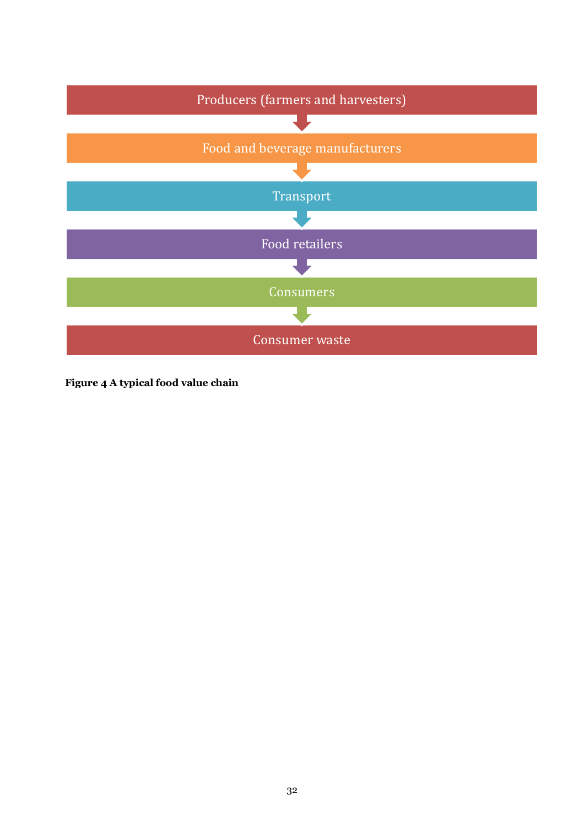

**Figure 4 A typical food value chain**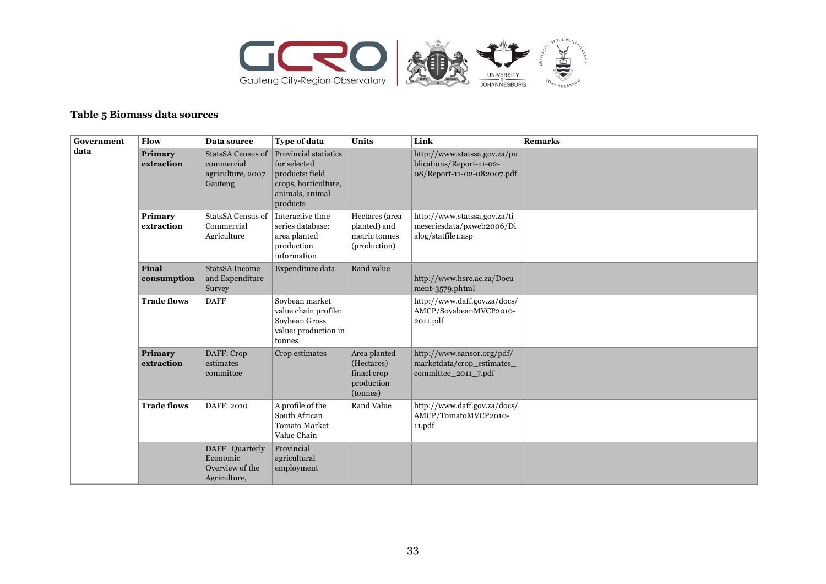

#### **Table 5 Biomass data sources**

| Government | Flow                         | Data source                                                            | <b>Type of data</b>                                                                                                    | Units                                                               | Link                                                                                   | <b>Remarks</b> |
|------------|------------------------------|------------------------------------------------------------------------|------------------------------------------------------------------------------------------------------------------------|---------------------------------------------------------------------|----------------------------------------------------------------------------------------|----------------|
| data       | <b>Primary</b><br>extraction | <b>StatsSA Census of</b><br>commercial<br>agriculture, 2007<br>Gauteng | <b>Provincial statistics</b><br>for selected<br>products: field<br>crops, horticulture,<br>animals, animal<br>products |                                                                     | http://www.statssa.gov.za/pu<br>blications/Report-11-02-<br>08/Report-11-02-082007.pdf |                |
|            | Primary<br>extraction        | <b>StatsSA Census of</b><br>Commercial<br>Agriculture                  | Interactive time<br>series database:<br>area planted<br>production<br>information                                      | Hectares (area<br>planted) and<br>metric tonnes<br>(production)     | http://www.statssa.gov.za/ti<br>meseriesdata/pxweb2006/Di<br>alog/statfile1.asp        |                |
|            | <b>Final</b><br>consumption  | <b>StatsSA</b> Income<br>and Expenditure<br>Survey                     | Expenditure data                                                                                                       | Rand value                                                          | http://www.hsrc.ac.za/Docu<br>ment-3579.phtml                                          |                |
|            | <b>Trade flows</b>           | <b>DAFF</b>                                                            | Soybean market<br>value chain profile:<br>Soybean Gross<br>value; production in<br>tonnes                              |                                                                     | http://www.daff.gov.za/docs/<br>AMCP/SoyabeanMVCP2010-<br>2011.pdf                     |                |
|            | Primary<br>extraction        | DAFF: Crop<br>estimates<br>committee                                   | Crop estimates                                                                                                         | Area planted<br>(Hectares)<br>finacl crop<br>production<br>(tonnes) | http://www.sansor.org/pdf/<br>marketdata/crop_estimates_<br>committee_2011_7.pdf       |                |
|            | <b>Trade flows</b>           | DAFF: 2010                                                             | A profile of the<br>South African<br><b>Tomato Market</b><br>Value Chain                                               | Rand Value                                                          | http://www.daff.gov.za/docs/<br>AMCP/TomatoMVCP2010-<br>11.pdf                         |                |
|            |                              | DAFF Quarterly<br>Economic<br>Overview of the<br>Agriculture,          | Provincial<br>agricultural<br>employment                                                                               |                                                                     |                                                                                        |                |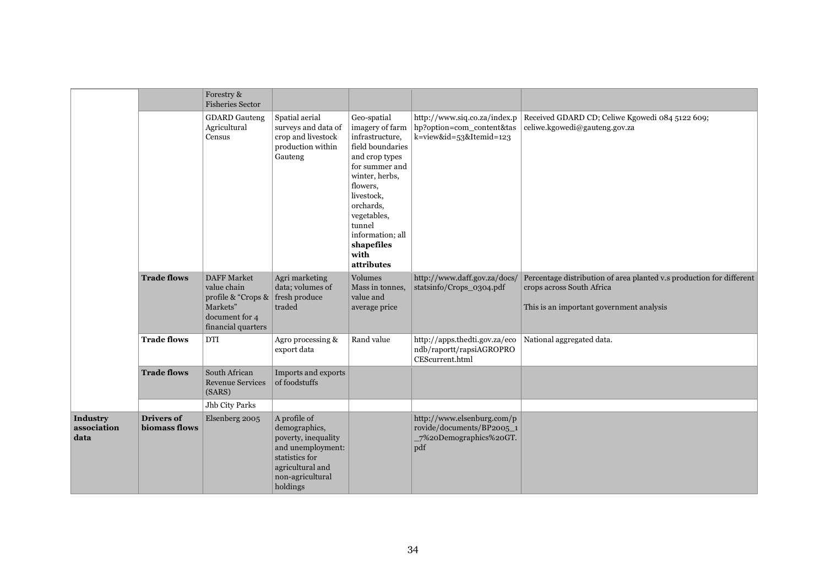|                                 |                                    | Forestry &<br><b>Fisheries Sector</b>                                                                                             |                                                                                                                                                 |                                                                                                                                                                                                                                                     |                                                                                           |                                                                                                                                               |
|---------------------------------|------------------------------------|-----------------------------------------------------------------------------------------------------------------------------------|-------------------------------------------------------------------------------------------------------------------------------------------------|-----------------------------------------------------------------------------------------------------------------------------------------------------------------------------------------------------------------------------------------------------|-------------------------------------------------------------------------------------------|-----------------------------------------------------------------------------------------------------------------------------------------------|
|                                 |                                    | <b>GDARD</b> Gauteng<br>Agricultural<br>Census                                                                                    | Spatial aerial<br>surveys and data of<br>crop and livestock<br>production within<br>Gauteng                                                     | Geo-spatial<br>imagery of farm<br>infrastructure,<br>field boundaries<br>and crop types<br>for summer and<br>winter, herbs,<br>flowers,<br>livestock,<br>orchards,<br>vegetables,<br>tunnel<br>information; all<br>shapefiles<br>with<br>attributes | http://www.siq.co.za/index.p<br>hp?option=com_content&tas<br>k=view&id=53&Itemid=123      | Received GDARD CD; Celiwe Kgowedi 084 5122 609;<br>celiwe.kgowedi@gauteng.gov.za                                                              |
|                                 | <b>Trade flows</b>                 | <b>DAFF Market</b><br>value chain<br>profile & "Crops & $\vert$ fresh produce<br>Markets"<br>document for 4<br>financial quarters | Agri marketing<br>data; volumes of<br>traded                                                                                                    | <b>Volumes</b><br>Mass in tonnes,<br>value and<br>average price                                                                                                                                                                                     | http://www.daff.gov.za/docs/<br>statsinfo/Crops_0304.pdf                                  | Percentage distribution of area planted v.s production for different<br>crops across South Africa<br>This is an important government analysis |
|                                 | <b>Trade flows</b>                 | <b>DTI</b>                                                                                                                        | Agro processing &<br>export data                                                                                                                | Rand value                                                                                                                                                                                                                                          | http://apps.thedti.gov.za/eco<br>ndb/raportt/rapsiAGROPRO<br>CEScurrent.html              | National aggregated data.                                                                                                                     |
|                                 | <b>Trade flows</b>                 | South African<br><b>Revenue Services</b><br>(SARS)                                                                                | Imports and exports<br>of foodstuffs                                                                                                            |                                                                                                                                                                                                                                                     |                                                                                           |                                                                                                                                               |
|                                 |                                    | Jhb City Parks                                                                                                                    |                                                                                                                                                 |                                                                                                                                                                                                                                                     |                                                                                           |                                                                                                                                               |
| Industry<br>association<br>data | <b>Drivers of</b><br>biomass flows | Elsenberg 2005                                                                                                                    | A profile of<br>demographics,<br>poverty, inequality<br>and unemployment:<br>statistics for<br>agricultural and<br>non-agricultural<br>holdings |                                                                                                                                                                                                                                                     | http://www.elsenburg.com/p<br>rovide/documents/BP2005_1<br>_7%20Demographics%20GT.<br>pdf |                                                                                                                                               |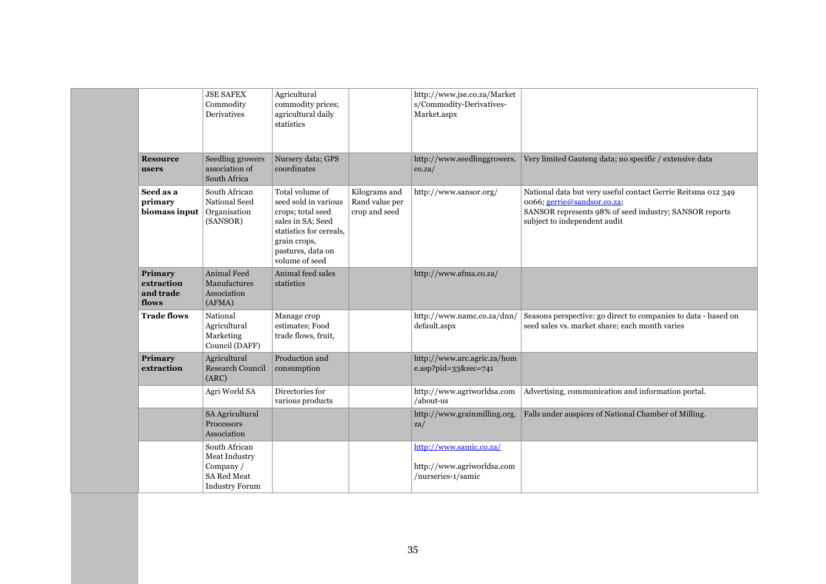|                                             | <b>JSE SAFEX</b><br>Commodity<br>Derivatives                                              | Agricultural<br>commodity prices;<br>agricultural daily<br>statistics                                                                                               |                                                  | http://www.jse.co.za/Market<br>s/Commodity-Derivatives-<br>Market.aspx      |                                                                                                                                                                                       |
|---------------------------------------------|-------------------------------------------------------------------------------------------|---------------------------------------------------------------------------------------------------------------------------------------------------------------------|--------------------------------------------------|-----------------------------------------------------------------------------|---------------------------------------------------------------------------------------------------------------------------------------------------------------------------------------|
| <b>Resource</b><br>users                    | Seedling growers<br>association of<br>South Africa                                        | Nursery data; GPS<br>coordinates                                                                                                                                    |                                                  | http://www.seedlinggrowers.<br>$\cos za/$                                   | Very limited Gauteng data; no specific / extensive data                                                                                                                               |
| Seed as a<br>primary<br>biomass input       | South African<br>National Seed<br>Organisation<br>(SANSOR)                                | Total volume of<br>seed sold in various<br>crops; total seed<br>sales in SA; Seed<br>statistics for cereals,<br>grain crops,<br>pastures, data on<br>volume of seed | Kilograms and<br>Rand value per<br>crop and seed | http://www.sansor.org/                                                      | National data but very useful contact Gerrie Reitsma 012 349<br>0066; gerrie@sandsor.co.za;<br>SANSOR represents 98% of seed industry; SANSOR reports<br>subject to independent audit |
| Primary<br>extraction<br>and trade<br>flows | <b>Animal Feed</b><br>Manufactures<br>Association<br>(AFMA)                               | Animal feed sales<br>statistics                                                                                                                                     |                                                  | http://www.afma.co.za/                                                      |                                                                                                                                                                                       |
| <b>Trade flows</b>                          | National<br>Agricultural<br>Marketing<br>Council (DAFF)                                   | Manage crop<br>estimates; Food<br>trade flows, fruit,                                                                                                               |                                                  | http://www.namc.co.za/dnn/<br>default.aspx                                  | Seasons perspective: go direct to companies to data - based on<br>seed sales vs. market share; each month varies                                                                      |
| Primary<br>extraction                       | Agricultural<br><b>Research Council</b><br>(ARC)                                          | Production and<br>consumption                                                                                                                                       |                                                  | http://www.arc.agric.za/hom<br>e.asp?pid=33&sec=741                         |                                                                                                                                                                                       |
|                                             | Agri World SA                                                                             | Directories for<br>various products                                                                                                                                 |                                                  | http://www.agriworldsa.com<br>/about-us                                     | Advertising, communication and information portal.                                                                                                                                    |
|                                             | SA Agricultural<br>Processors<br>Association                                              |                                                                                                                                                                     |                                                  | http://www.grainmilling.org.<br>$z$ a/                                      | Falls under auspices of National Chamber of Milling.                                                                                                                                  |
|                                             | South African<br>Meat Industry<br>Company/<br><b>SA Red Meat</b><br><b>Industry Forum</b> |                                                                                                                                                                     |                                                  | http://www.samic.co.za/<br>http://www.agriworldsa.com<br>/nurseries-1/samic |                                                                                                                                                                                       |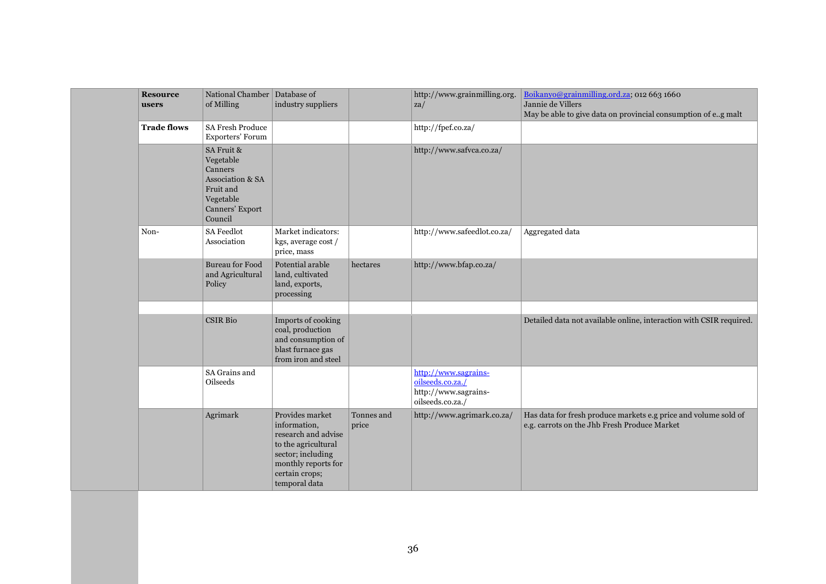| <b>Resource</b><br>users | National Chamber   Database of<br>of Milling                                                                              | industry suppliers                                                                                                                                           |                     | http://www.grainmilling.org.<br>$z$ a/                                               | Boikanyo@grainmilling.ord.za; 012 663 1660<br>Jannie de Villers<br>May be able to give data on provincial consumption of e.g malt |
|--------------------------|---------------------------------------------------------------------------------------------------------------------------|--------------------------------------------------------------------------------------------------------------------------------------------------------------|---------------------|--------------------------------------------------------------------------------------|-----------------------------------------------------------------------------------------------------------------------------------|
| <b>Trade flows</b>       | SA Fresh Produce<br>Exporters' Forum                                                                                      |                                                                                                                                                              |                     | http://fpef.co.za/                                                                   |                                                                                                                                   |
|                          | SA Fruit &<br>Vegetable<br>Canners<br><b>Association &amp; SA</b><br>Fruit and<br>Vegetable<br>Canners' Export<br>Council |                                                                                                                                                              |                     | http://www.safvca.co.za/                                                             |                                                                                                                                   |
| Non-                     | <b>SA Feedlot</b><br>Association                                                                                          | Market indicators:<br>kgs, average cost /<br>price, mass                                                                                                     |                     | http://www.safeedlot.co.za/                                                          | Aggregated data                                                                                                                   |
|                          | <b>Bureau for Food</b><br>and Agricultural<br>Policy                                                                      | Potential arable<br>land, cultivated<br>land, exports,<br>processing                                                                                         | hectares            | http://www.bfap.co.za/                                                               |                                                                                                                                   |
|                          |                                                                                                                           |                                                                                                                                                              |                     |                                                                                      |                                                                                                                                   |
|                          | <b>CSIR Bio</b>                                                                                                           | Imports of cooking<br>coal, production<br>and consumption of<br>blast furnace gas<br>from iron and steel                                                     |                     |                                                                                      | Detailed data not available online, interaction with CSIR required.                                                               |
|                          | SA Grains and<br><b>Oilseeds</b>                                                                                          |                                                                                                                                                              |                     | http://www.sagrains-<br>oilseeds.co.za./<br>http://www.sagrains-<br>oilseeds.co.za./ |                                                                                                                                   |
|                          | Agrimark                                                                                                                  | Provides market<br>information,<br>research and advise<br>to the agricultural<br>sector; including<br>monthly reports for<br>certain crops;<br>temporal data | Tonnes and<br>price | http://www.agrimark.co.za/                                                           | Has data for fresh produce markets e.g price and volume sold of<br>e.g. carrots on the Jhb Fresh Produce Market                   |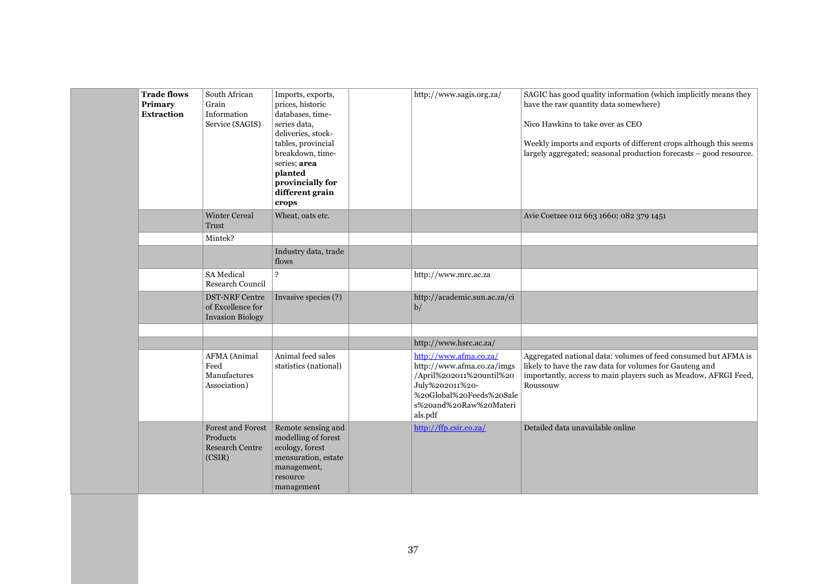| <b>Trade flows</b><br>Primary<br><b>Extraction</b> | South African<br>Grain<br>Information<br>Service (SAGIS)                 | Imports, exports,<br>prices, historic<br>databases, time-<br>series data,<br>deliveries, stock-<br>tables, provincial<br>breakdown, time-<br>series; area<br>planted<br>provincially for<br>different grain<br>crops | http://www.sagis.org.za/                                                                                                                                             | SAGIC has good quality information (which implicitly means they<br>have the raw quantity data somewhere)<br>Nico Hawkins to take over as CEO<br>Weekly imports and exports of different crops although this seems<br>largely aggregated; seasonal production forecasts - good resource. |
|----------------------------------------------------|--------------------------------------------------------------------------|----------------------------------------------------------------------------------------------------------------------------------------------------------------------------------------------------------------------|----------------------------------------------------------------------------------------------------------------------------------------------------------------------|-----------------------------------------------------------------------------------------------------------------------------------------------------------------------------------------------------------------------------------------------------------------------------------------|
|                                                    | <b>Winter Cereal</b><br><b>Trust</b>                                     | Wheat, oats etc.                                                                                                                                                                                                     |                                                                                                                                                                      | Avie Coetzee 012 663 1660; 082 379 1451                                                                                                                                                                                                                                                 |
|                                                    | Mintek?                                                                  |                                                                                                                                                                                                                      |                                                                                                                                                                      |                                                                                                                                                                                                                                                                                         |
|                                                    |                                                                          | Industry data, trade<br>flows                                                                                                                                                                                        |                                                                                                                                                                      |                                                                                                                                                                                                                                                                                         |
|                                                    | <b>SA</b> Medical<br><b>Research Council</b>                             | $\overline{?}$                                                                                                                                                                                                       | http://www.mrc.ac.za                                                                                                                                                 |                                                                                                                                                                                                                                                                                         |
|                                                    | <b>DST-NRF Centre</b><br>of Excellence for<br><b>Invasion Biology</b>    | Invasive species (?)                                                                                                                                                                                                 | http://academic.sun.ac.za/ci<br>b/                                                                                                                                   |                                                                                                                                                                                                                                                                                         |
|                                                    |                                                                          |                                                                                                                                                                                                                      |                                                                                                                                                                      |                                                                                                                                                                                                                                                                                         |
|                                                    |                                                                          |                                                                                                                                                                                                                      | http://www.hsrc.ac.za/                                                                                                                                               |                                                                                                                                                                                                                                                                                         |
|                                                    | <b>AFMA</b> (Animal<br>Feed<br>Manufactures<br>Association)              | Animal feed sales<br>statistics (national)                                                                                                                                                                           | http://www.afma.co.za/<br>http://www.afma.co.za/imgs<br>/April%202011%20until%20<br>July%202011%20-<br>%20Global%20Feeds%20Sale<br>s%20and%20Raw%20Materi<br>als.pdf | Aggregated national data: volumes of feed consumed but AFMA is<br>likely to have the raw data for volumes for Gauteng and<br>importantly, access to main players such as Meadow, AFRGI Feed,<br>Roussouw                                                                                |
|                                                    | <b>Forest and Forest</b><br>Products<br><b>Research Centre</b><br>(CSIR) | Remote sensing and<br>modelling of forest<br>ecology, forest<br>mensuration, estate<br>management,<br>resource<br>management                                                                                         | http://ffp.csir.co.za/                                                                                                                                               | Detailed data unavailable online                                                                                                                                                                                                                                                        |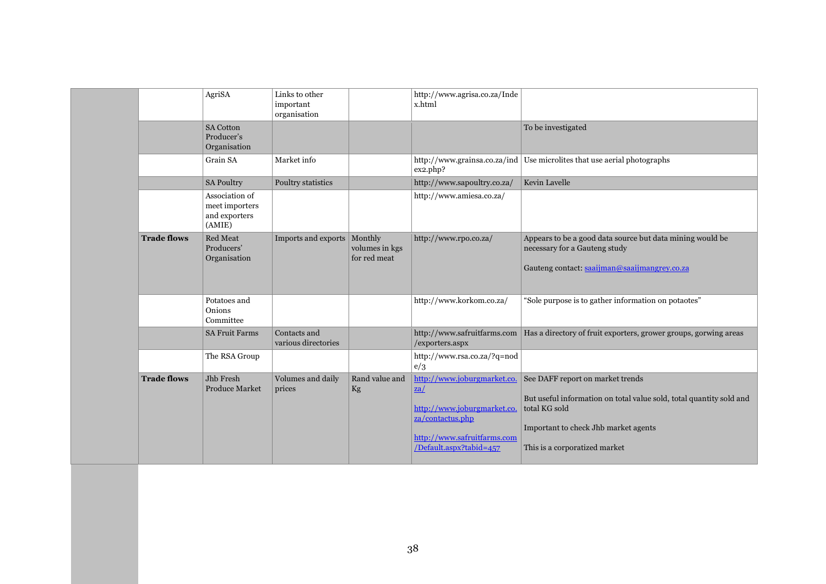|                    | AgriSA                                                      | Links to other<br>important<br>organisation |                                           | http://www.agrisa.co.za/Inde<br>x.html                                                                                                                              |                                                                                                                                                                                                   |
|--------------------|-------------------------------------------------------------|---------------------------------------------|-------------------------------------------|---------------------------------------------------------------------------------------------------------------------------------------------------------------------|---------------------------------------------------------------------------------------------------------------------------------------------------------------------------------------------------|
|                    | <b>SA Cotton</b><br>Producer's<br>Organisation              |                                             |                                           |                                                                                                                                                                     | To be investigated                                                                                                                                                                                |
|                    | Grain SA                                                    | Market info                                 |                                           | http://www.grainsa.co.za/ind<br>ex2.php?                                                                                                                            | Use microlites that use aerial photographs                                                                                                                                                        |
|                    | <b>SA Poultry</b>                                           | Poultry statistics                          |                                           | http://www.sapoultry.co.za/                                                                                                                                         | Kevin Lavelle                                                                                                                                                                                     |
|                    | Association of<br>meet importers<br>and exporters<br>(AMIE) |                                             |                                           | http://www.amiesa.co.za/                                                                                                                                            |                                                                                                                                                                                                   |
| <b>Trade flows</b> | Red Meat<br>Producers'<br>Organisation                      | Imports and exports                         | Monthly<br>volumes in kgs<br>for red meat | http://www.rpo.co.za/                                                                                                                                               | Appears to be a good data source but data mining would be<br>necessary for a Gauteng study<br>Gauteng contact: saaijman@saaijmangrey.co.za                                                        |
|                    | Potatoes and<br>Onions<br>Committee                         |                                             |                                           | http://www.korkom.co.za/                                                                                                                                            | "Sole purpose is to gather information on potaotes"                                                                                                                                               |
|                    | <b>SA Fruit Farms</b>                                       | Contacts and<br>various directories         |                                           | http://www.safruitfarms.com<br>/exporters.aspx                                                                                                                      | Has a directory of fruit exporters, grower groups, gorwing areas                                                                                                                                  |
|                    | The RSA Group                                               |                                             |                                           | http://www.rsa.co.za/?q=nod<br>e/3                                                                                                                                  |                                                                                                                                                                                                   |
| <b>Trade flows</b> | Jhb Fresh<br><b>Produce Market</b>                          | Volumes and daily<br>prices                 | Rand value and<br>Kg                      | http://www.joburgmarket.co.<br>$\mathbf{z}\mathbf{a}/$<br>http://www.joburgmarket.co.<br>za/contactus.php<br>http://www.safruitfarms.com<br>/Default.aspx?tabid=457 | See DAFF report on market trends<br>But useful information on total value sold, total quantity sold and<br>total KG sold<br>Important to check Jhb market agents<br>This is a corporatized market |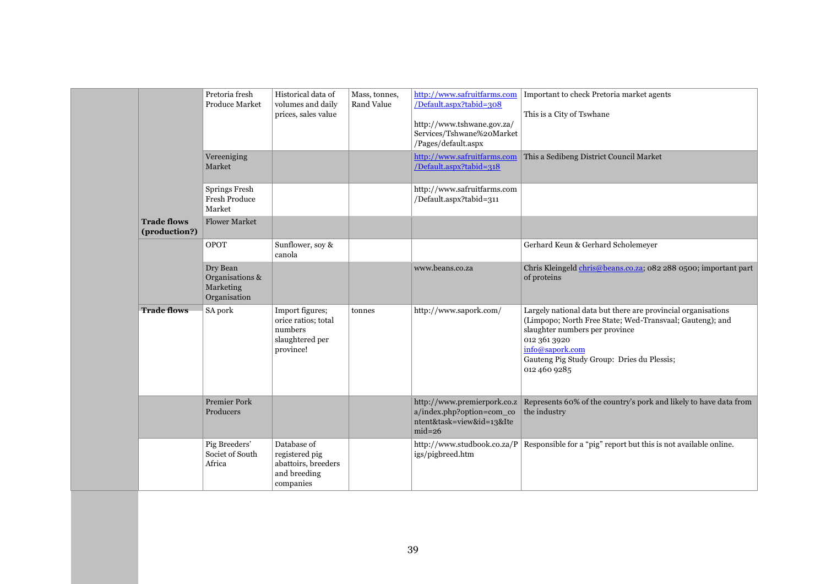|                                     | Pretoria fresh<br><b>Produce Market</b>                  | Historical data of<br>volumes and daily<br>prices, sales value                    | Mass, tonnes,<br><b>Rand Value</b> | /Default.aspx?tabid=308<br>http://www.tshwane.gov.za/<br>Services/Tshwane%20Market<br>/Pages/default.aspx | http://www.safruitfarms.com   Important to check Pretoria market agents<br>This is a City of Tswhane                                                                                                                                                        |
|-------------------------------------|----------------------------------------------------------|-----------------------------------------------------------------------------------|------------------------------------|-----------------------------------------------------------------------------------------------------------|-------------------------------------------------------------------------------------------------------------------------------------------------------------------------------------------------------------------------------------------------------------|
|                                     | Vereeniging<br>Market                                    |                                                                                   |                                    | http://www.safruitfarms.com<br>/Default.aspx?tabid=318                                                    | This a Sedibeng District Council Market                                                                                                                                                                                                                     |
|                                     | Springs Fresh<br><b>Fresh Produce</b><br>Market          |                                                                                   |                                    | http://www.safruitfarms.com<br>/Default.aspx?tabid=311                                                    |                                                                                                                                                                                                                                                             |
| <b>Trade flows</b><br>(production?) | <b>Flower Market</b>                                     |                                                                                   |                                    |                                                                                                           |                                                                                                                                                                                                                                                             |
|                                     | OPOT                                                     | Sunflower, soy &<br>canola                                                        |                                    |                                                                                                           | Gerhard Keun & Gerhard Scholemeyer                                                                                                                                                                                                                          |
|                                     | Dry Bean<br>Organisations &<br>Marketing<br>Organisation |                                                                                   |                                    | www.beans.co.za                                                                                           | Chris Kleingeld chris@beans.co.za; 082 288 0500; important part<br>of proteins                                                                                                                                                                              |
| <b>Trade flows</b>                  | SA pork                                                  | Import figures;<br>orice ratios; total<br>numbers<br>slaughtered per<br>province! | tonnes                             | http://www.sapork.com/                                                                                    | Largely national data but there are provincial organisations<br>(Limpopo; North Free State; Wed-Transvaal; Gauteng); and<br>slaughter numbers per province<br>012 361 3920<br>info@sapork.com<br>Gauteng Pig Study Group: Dries du Plessis;<br>012 460 9285 |
|                                     | <b>Premier Pork</b><br>Producers                         |                                                                                   |                                    | http://www.premierpork.co.z<br>a/index.php?option=com_co<br>ntent&task=view&id=13&Ite<br>$mid=26$         | Represents 60% of the country's pork and likely to have data from<br>the industry                                                                                                                                                                           |
|                                     | Pig Breeders'<br>Societ of South<br>Africa               | Database of<br>registered pig<br>abattoirs, breeders<br>and breeding<br>companies |                                    | http://www.studbook.co.za/P<br>igs/pigbreed.htm                                                           | Responsible for a "pig" report but this is not available online.                                                                                                                                                                                            |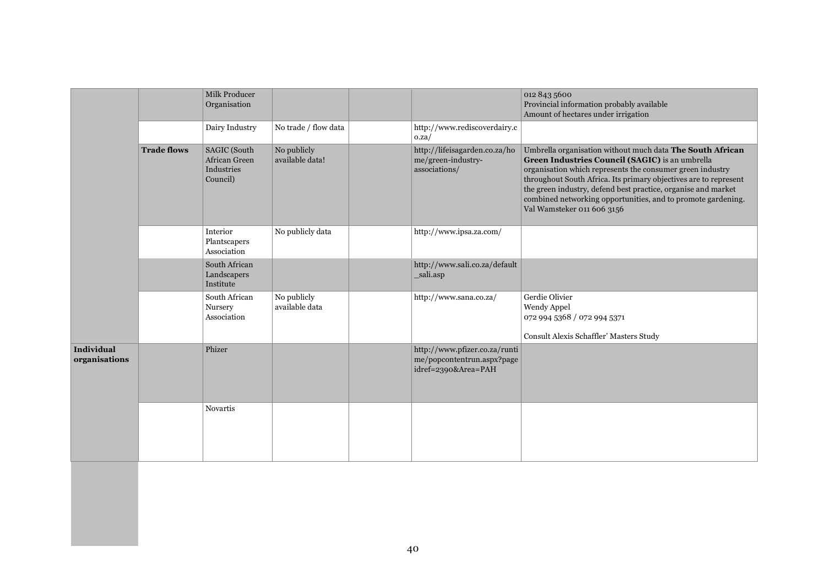|                                    |                    | Milk Producer<br>Organisation                                  |                                |                                                                                    | 012 843 5600<br>Provincial information probably available<br>Amount of hectares under irrigation                                                                                                                                                                                                                                                                                                             |
|------------------------------------|--------------------|----------------------------------------------------------------|--------------------------------|------------------------------------------------------------------------------------|--------------------------------------------------------------------------------------------------------------------------------------------------------------------------------------------------------------------------------------------------------------------------------------------------------------------------------------------------------------------------------------------------------------|
|                                    |                    | Dairy Industry                                                 | No trade / flow data           | http://www.rediscoverdairy.c<br>0.za/                                              |                                                                                                                                                                                                                                                                                                                                                                                                              |
|                                    | <b>Trade flows</b> | <b>SAGIC</b> (South<br>African Green<br>Industries<br>Council) | No publicly<br>available data! | http://lifeisagarden.co.za/ho<br>me/green-industry-<br>associations/               | Umbrella organisation without much data The South African<br>Green Industries Council (SAGIC) is an umbrella<br>organisation which represents the consumer green industry<br>throughout South Africa. Its primary objectives are to represent<br>the green industry, defend best practice, organise and market<br>combined networking opportunities, and to promote gardening.<br>Val Wamsteker 011 606 3156 |
|                                    |                    | Interior<br>Plantscapers<br>Association                        | No publicly data               | http://www.ipsa.za.com/                                                            |                                                                                                                                                                                                                                                                                                                                                                                                              |
|                                    |                    | South African<br>Landscapers<br>Institute                      |                                | http://www.sali.co.za/default<br>_sali.asp                                         |                                                                                                                                                                                                                                                                                                                                                                                                              |
|                                    |                    | South African<br>Nursery<br>Association                        | No publicly<br>available data  | http://www.sana.co.za/                                                             | Gerdie Olivier<br>Wendy Appel<br>072 994 5368 / 072 994 5371<br>Consult Alexis Schaffler' Masters Study                                                                                                                                                                                                                                                                                                      |
| <b>Individual</b><br>organisations |                    | Phizer                                                         |                                | http://www.pfizer.co.za/runti<br>me/popcontentrun.aspx?page<br>idref=2390&Area=PAH |                                                                                                                                                                                                                                                                                                                                                                                                              |
|                                    |                    | Novartis                                                       |                                |                                                                                    |                                                                                                                                                                                                                                                                                                                                                                                                              |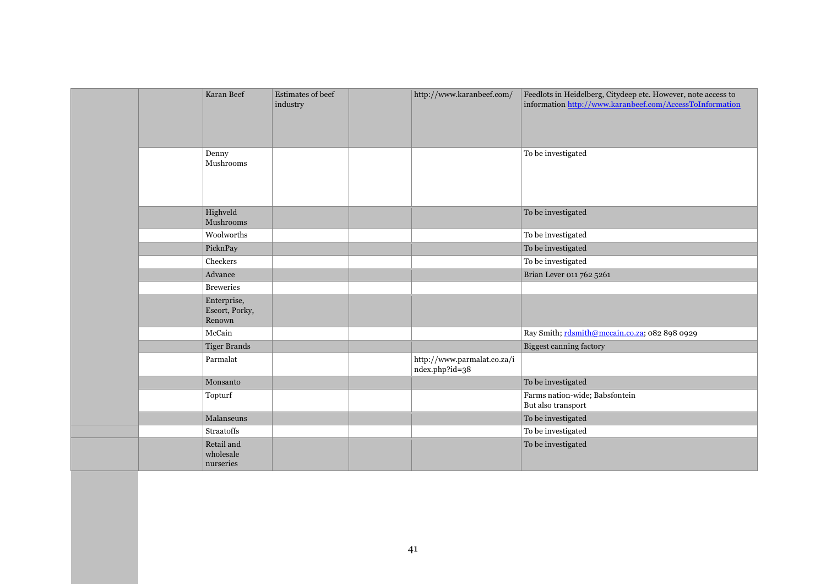|  | Karan Beef                              | Estimates of beef<br>industry | http://www.karanbeef.com/                     | Feedlots in Heidelberg, Citydeep etc. However, note access to<br>information http://www.karanbeef.com/AccessToInformation |
|--|-----------------------------------------|-------------------------------|-----------------------------------------------|---------------------------------------------------------------------------------------------------------------------------|
|  | Denny<br>Mushrooms                      |                               |                                               | To be investigated                                                                                                        |
|  | Highveld<br>Mushrooms                   |                               |                                               | To be investigated                                                                                                        |
|  | Woolworths                              |                               |                                               | To be investigated                                                                                                        |
|  | PicknPay                                |                               |                                               | To be investigated                                                                                                        |
|  | Checkers                                |                               |                                               | To be investigated                                                                                                        |
|  | Advance                                 |                               |                                               | Brian Lever 011 762 5261                                                                                                  |
|  | <b>Breweries</b>                        |                               |                                               |                                                                                                                           |
|  | Enterprise,<br>Escort, Porky,<br>Renown |                               |                                               |                                                                                                                           |
|  | McCain                                  |                               |                                               | Ray Smith; rdsmith@mccain.co.za; 082 898 0929                                                                             |
|  | <b>Tiger Brands</b>                     |                               |                                               | Biggest canning factory                                                                                                   |
|  | Parmalat                                |                               | http://www.parmalat.co.za/i<br>ndex.php?id=38 |                                                                                                                           |
|  | Monsanto                                |                               |                                               | To be investigated                                                                                                        |
|  | Topturf                                 |                               |                                               | Farms nation-wide; Babsfontein<br>But also transport                                                                      |
|  | Malanseuns                              |                               |                                               | To be investigated                                                                                                        |
|  | <b>Straatoffs</b>                       |                               |                                               | To be investigated                                                                                                        |
|  | Retail and<br>wholesale<br>nurseries    |                               |                                               | To be investigated                                                                                                        |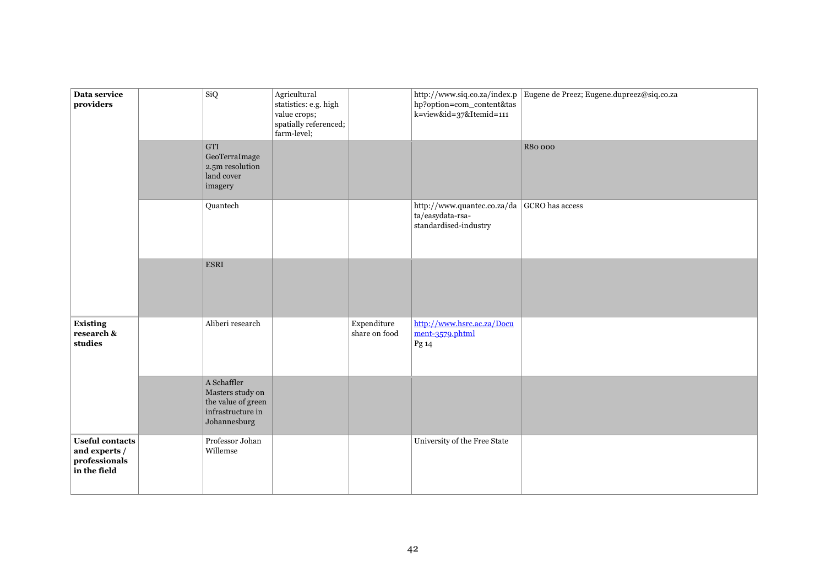| Data service<br>providers                                                | SiQ                                                                                        | Agricultural<br>statistics: e.g. high<br>value crops;<br>spatially referenced;<br>farm-level; |                              | http://www.siq.co.za/index.p<br>hp?option=com_content&tas<br>k=view&id=37&Itemid=111 | Eugene de Preez; Eugene.dupreez@siq.co.za |
|--------------------------------------------------------------------------|--------------------------------------------------------------------------------------------|-----------------------------------------------------------------------------------------------|------------------------------|--------------------------------------------------------------------------------------|-------------------------------------------|
|                                                                          | GTI<br>GeoTerraImage<br>2.5m resolution<br>land cover<br>imagery                           |                                                                                               |                              |                                                                                      | R80 000                                   |
|                                                                          | Quantech                                                                                   |                                                                                               |                              | http://www.quantec.co.za/da<br>ta/easydata-rsa-<br>standardised-industry             | GCRO has access                           |
|                                                                          | $_{\rm ESRI}$                                                                              |                                                                                               |                              |                                                                                      |                                           |
| Existing<br>research &<br>studies                                        | Aliberi research                                                                           |                                                                                               | Expenditure<br>share on food | http://www.hsrc.ac.za/Docu<br>$ment-3579.$ phtml<br>Pg 14                            |                                           |
|                                                                          | A Schaffler<br>Masters study on<br>the value of green<br>infrastructure in<br>Johannesburg |                                                                                               |                              |                                                                                      |                                           |
| <b>Useful contacts</b><br>and experts /<br>professionals<br>in the field | Professor Johan<br>Willemse                                                                |                                                                                               |                              | University of the Free State                                                         |                                           |